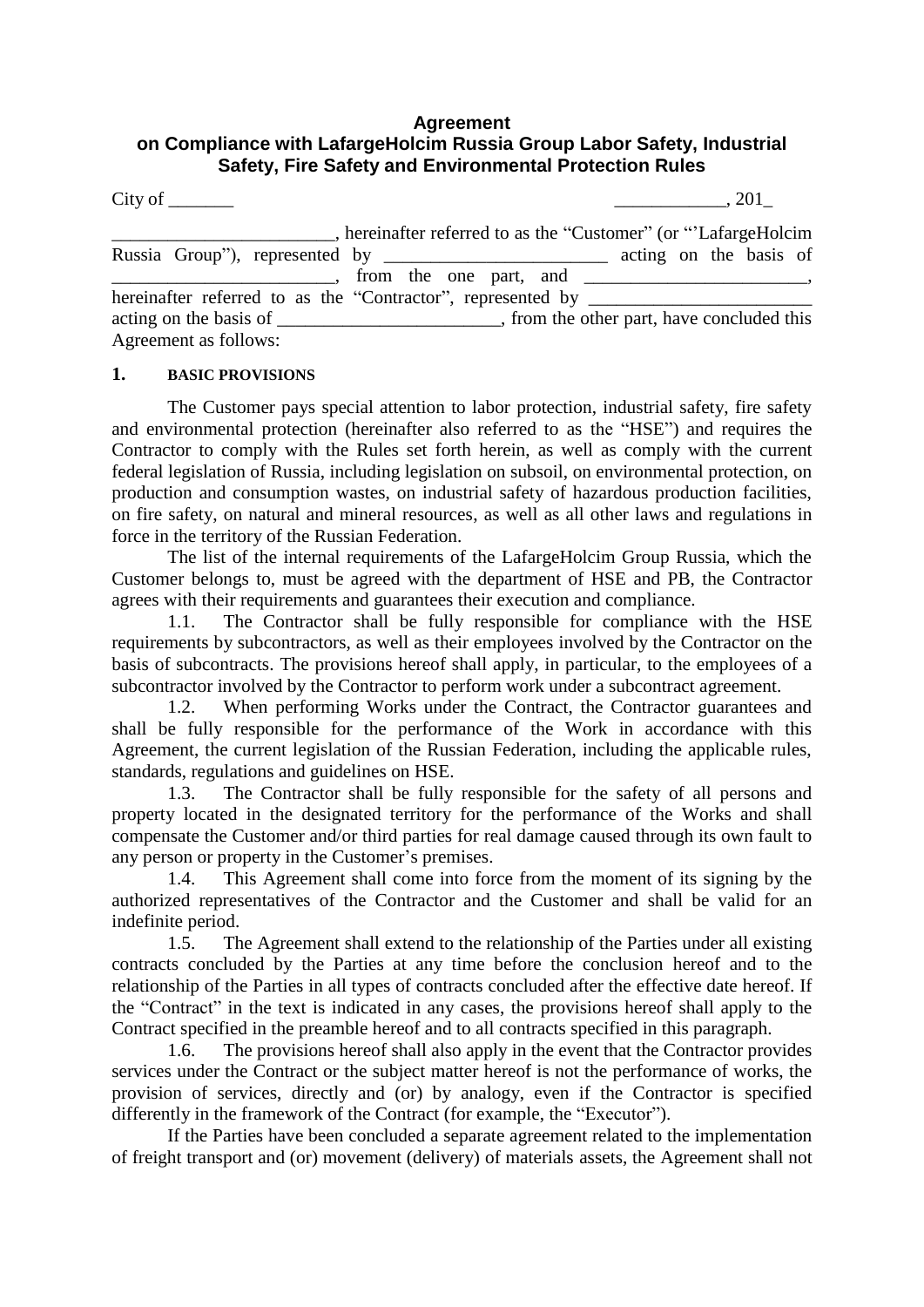## **Agreement on Compliance with LafargeHolcim Russia Group Labor Safety, Industrial Safety, Fire Safety and Environmental Protection Rules**

|                                                                                  | hereinafter referred to as the "Customer" (or "LafargeHolcim |
|----------------------------------------------------------------------------------|--------------------------------------------------------------|
| Russia Group"), represented by ________________________ acting on the basis of   | $\blacksquare$ , from the one part, and $\blacksquare$ ,     |
| hereinafter referred to as the "Contractor", represented by ____________________ |                                                              |
|                                                                                  |                                                              |
| Agreement as follows:                                                            |                                                              |

## **1. BASIC PROVISIONS**

The Customer pays special attention to labor protection, industrial safety, fire safety and environmental protection (hereinafter also referred to as the "HSE") and requires the Contractor to comply with the Rules set forth herein, as well as comply with the current federal legislation of Russia, including legislation on subsoil, on environmental protection, on production and consumption wastes, on industrial safety of hazardous production facilities, on fire safety, on natural and mineral resources, as well as all other laws and regulations in force in the territory of the Russian Federation.

The list of the internal requirements of the LafargeHolcim Group Russia, which the Customer belongs to, must be agreed with the department of HSE and PB, the Contractor agrees with their requirements and guarantees their execution and compliance.

1.1. The Contractor shall be fully responsible for compliance with the HSE requirements by subcontractors, as well as their employees involved by the Contractor on the basis of subcontracts. The provisions hereof shall apply, in particular, to the employees of a subcontractor involved by the Contractor to perform work under a subcontract agreement.

1.2. When performing Works under the Contract, the Contractor guarantees and shall be fully responsible for the performance of the Work in accordance with this Agreement, the current legislation of the Russian Federation, including the applicable rules, standards, regulations and guidelines on HSE.

1.3. The Contractor shall be fully responsible for the safety of all persons and property located in the designated territory for the performance of the Works and shall compensate the Customer and/or third parties for real damage caused through its own fault to any person or property in the Customer's premises.

1.4. This Agreement shall come into force from the moment of its signing by the authorized representatives of the Contractor and the Customer and shall be valid for an indefinite period.

1.5. The Agreement shall extend to the relationship of the Parties under all existing contracts concluded by the Parties at any time before the conclusion hereof and to the relationship of the Parties in all types of contracts concluded after the effective date hereof. If the "Contract" in the text is indicated in any cases, the provisions hereof shall apply to the Contract specified in the preamble hereof and to all contracts specified in this paragraph.

1.6. The provisions hereof shall also apply in the event that the Contractor provides services under the Contract or the subject matter hereof is not the performance of works, the provision of services, directly and (or) by analogy, even if the Contractor is specified differently in the framework of the Contract (for example, the "Executor").

If the Parties have been concluded a separate agreement related to the implementation of freight transport and (or) movement (delivery) of materials assets, the Agreement shall not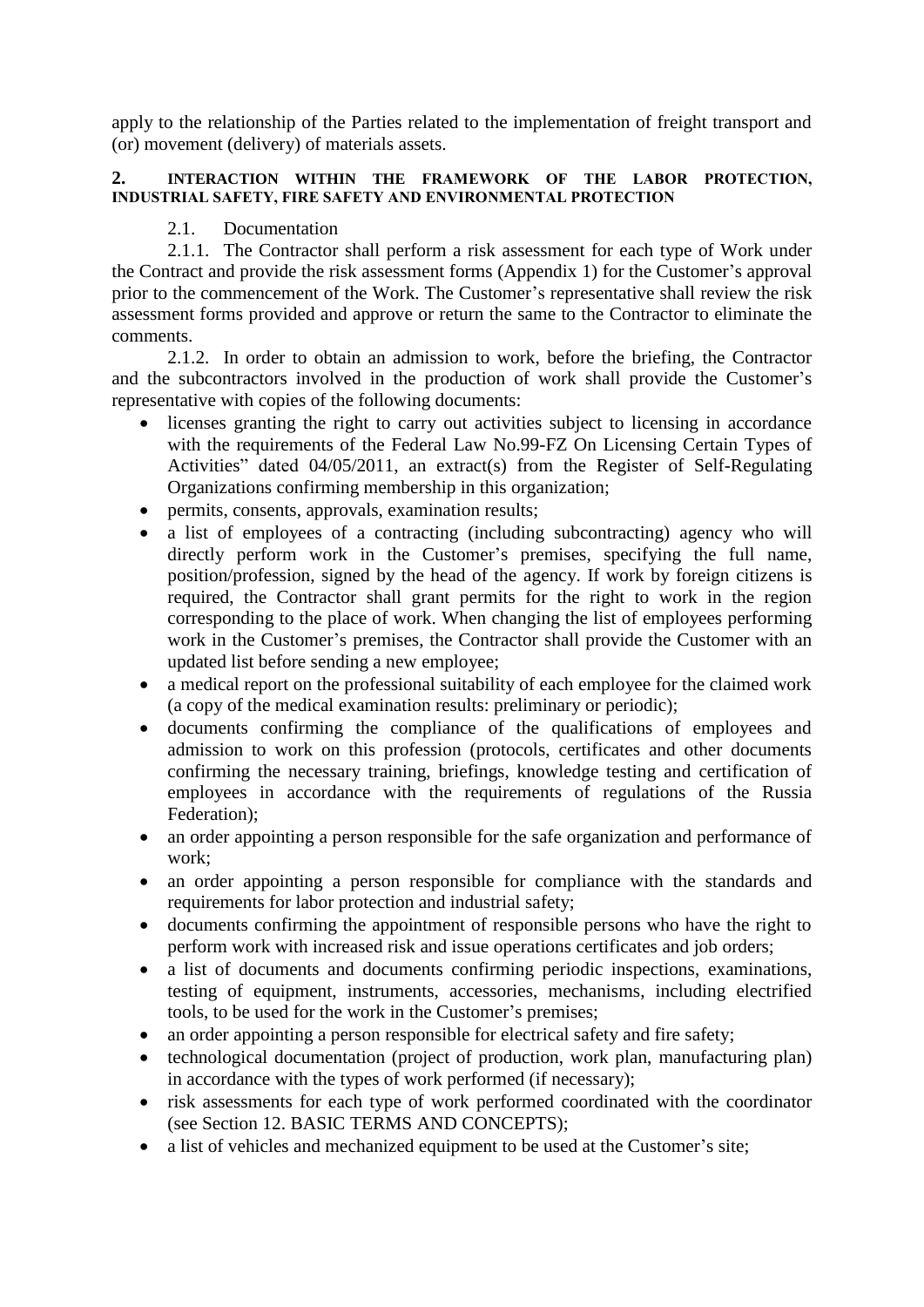apply to the relationship of the Parties related to the implementation of freight transport and (or) movement (delivery) of materials assets.

## **2. INTERACTION WITHIN THE FRAMEWORK OF THE LABOR PROTECTION, INDUSTRIAL SAFETY, FIRE SAFETY AND ENVIRONMENTAL PROTECTION**

## 2.1. Documentation

2.1.1. The Contractor shall perform a risk assessment for each type of Work under the Contract and provide the risk assessment forms (Appendix 1) for the Customer's approval prior to the commencement of the Work. The Customer's representative shall review the risk assessment forms provided and approve or return the same to the Contractor to eliminate the comments.

2.1.2. In order to obtain an admission to work, before the briefing, the Contractor and the subcontractors involved in the production of work shall provide the Customer's representative with copies of the following documents:

- licenses granting the right to carry out activities subject to licensing in accordance with the requirements of the Federal Law No.99-FZ On Licensing Certain Types of Activities" dated 04/05/2011, an extract(s) from the Register of Self-Regulating Organizations confirming membership in this organization;
- permits, consents, approvals, examination results;
- a list of employees of a contracting (including subcontracting) agency who will directly perform work in the Customer's premises, specifying the full name, position/profession, signed by the head of the agency. If work by foreign citizens is required, the Contractor shall grant permits for the right to work in the region corresponding to the place of work. When changing the list of employees performing work in the Customer's premises, the Contractor shall provide the Customer with an updated list before sending a new employee;
- a medical report on the professional suitability of each employee for the claimed work (a copy of the medical examination results: preliminary or periodic);
- documents confirming the compliance of the qualifications of employees and admission to work on this profession (protocols, certificates and other documents confirming the necessary training, briefings, knowledge testing and certification of employees in accordance with the requirements of regulations of the Russia Federation);
- an order appointing a person responsible for the safe organization and performance of work;
- an order appointing a person responsible for compliance with the standards and requirements for labor protection and industrial safety;
- documents confirming the appointment of responsible persons who have the right to perform work with increased risk and issue operations certificates and job orders;
- a list of documents and documents confirming periodic inspections, examinations, testing of equipment, instruments, accessories, mechanisms, including electrified tools, to be used for the work in the Customer's premises;
- an order appointing a person responsible for electrical safety and fire safety;
- technological documentation (project of production, work plan, manufacturing plan) in accordance with the types of work performed (if necessary);
- risk assessments for each type of work performed coordinated with the coordinator (see Section 12. BASIC TERMS AND CONCEPTS);
- a list of vehicles and mechanized equipment to be used at the Customer's site;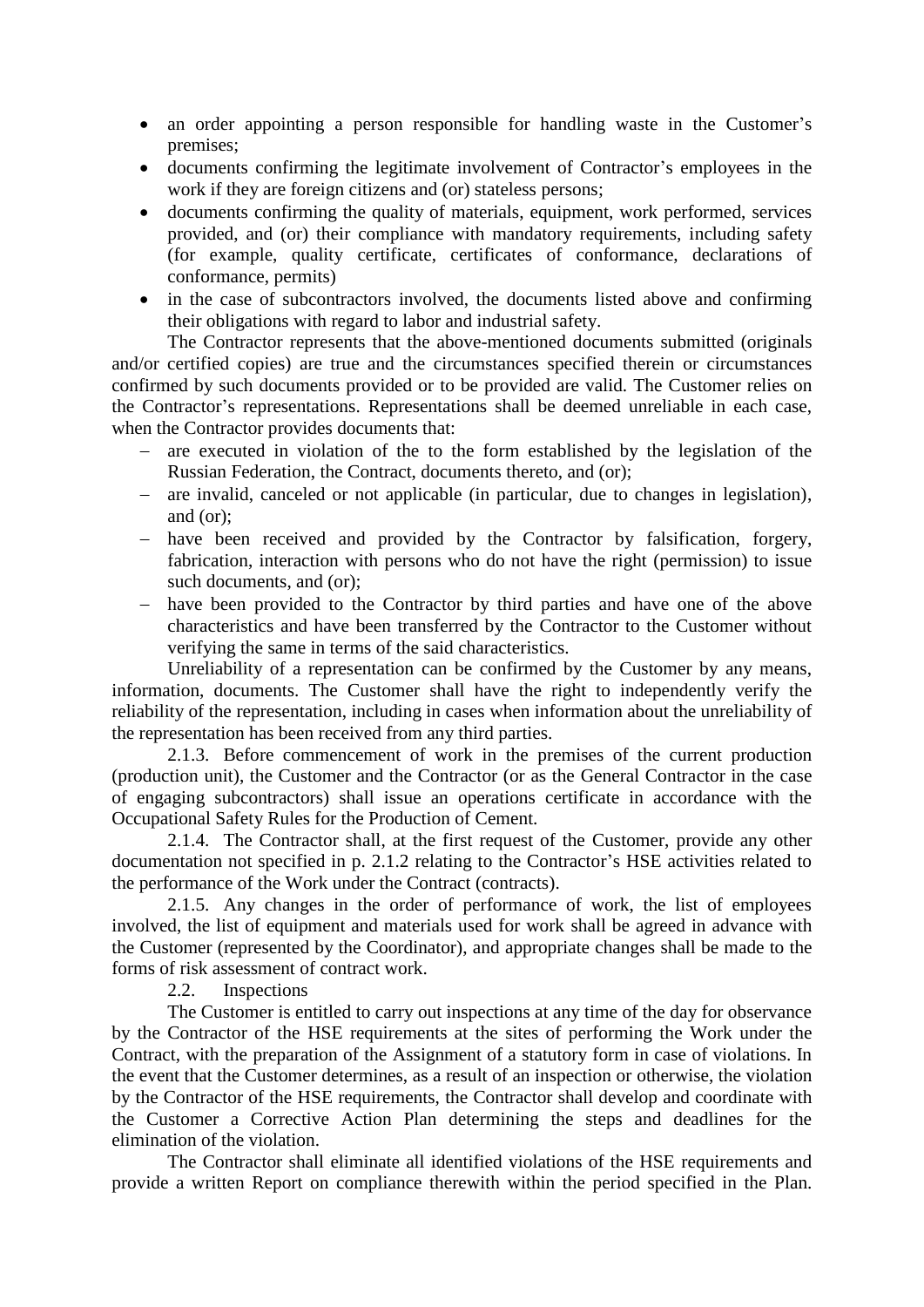- an order appointing a person responsible for handling waste in the Customer's premises;
- documents confirming the legitimate involvement of Contractor's employees in the work if they are foreign citizens and (or) stateless persons;
- documents confirming the quality of materials, equipment, work performed, services provided, and (or) their compliance with mandatory requirements, including safety (for example, quality certificate, certificates of conformance, declarations of conformance, permits)
- in the case of subcontractors involved, the documents listed above and confirming their obligations with regard to labor and industrial safety.

The Contractor represents that the above-mentioned documents submitted (originals and/or certified copies) are true and the circumstances specified therein or circumstances confirmed by such documents provided or to be provided are valid. The Customer relies on the Contractor's representations. Representations shall be deemed unreliable in each case, when the Contractor provides documents that:

- are executed in violation of the to the form established by the legislation of the Russian Federation, the Contract, documents thereto, and (or);
- are invalid, canceled or not applicable (in particular, due to changes in legislation), and (or);
- have been received and provided by the Contractor by falsification, forgery, fabrication, interaction with persons who do not have the right (permission) to issue such documents, and (or);
- have been provided to the Contractor by third parties and have one of the above characteristics and have been transferred by the Contractor to the Customer without verifying the same in terms of the said characteristics.

Unreliability of a representation can be confirmed by the Customer by any means, information, documents. The Customer shall have the right to independently verify the reliability of the representation, including in cases when information about the unreliability of the representation has been received from any third parties.

2.1.3. Before commencement of work in the premises of the current production (production unit), the Customer and the Contractor (or as the General Contractor in the case of engaging subcontractors) shall issue an operations certificate in accordance with the Occupational Safety Rules for the Production of Cement.

2.1.4. The Contractor shall, at the first request of the Customer, provide any other documentation not specified in p. 2.1.2 relating to the Contractor's HSE activities related to the performance of the Work under the Contract (contracts).

2.1.5. Any changes in the order of performance of work, the list of employees involved, the list of equipment and materials used for work shall be agreed in advance with the Customer (represented by the Coordinator), and appropriate changes shall be made to the forms of risk assessment of contract work.

2.2. Inspections

The Customer is entitled to carry out inspections at any time of the day for observance by the Contractor of the HSE requirements at the sites of performing the Work under the Contract, with the preparation of the Assignment of a statutory form in case of violations. In the event that the Customer determines, as a result of an inspection or otherwise, the violation by the Contractor of the HSE requirements, the Contractor shall develop and coordinate with the Customer a Corrective Action Plan determining the steps and deadlines for the elimination of the violation.

The Contractor shall eliminate all identified violations of the HSE requirements and provide a written Report on compliance therewith within the period specified in the Plan.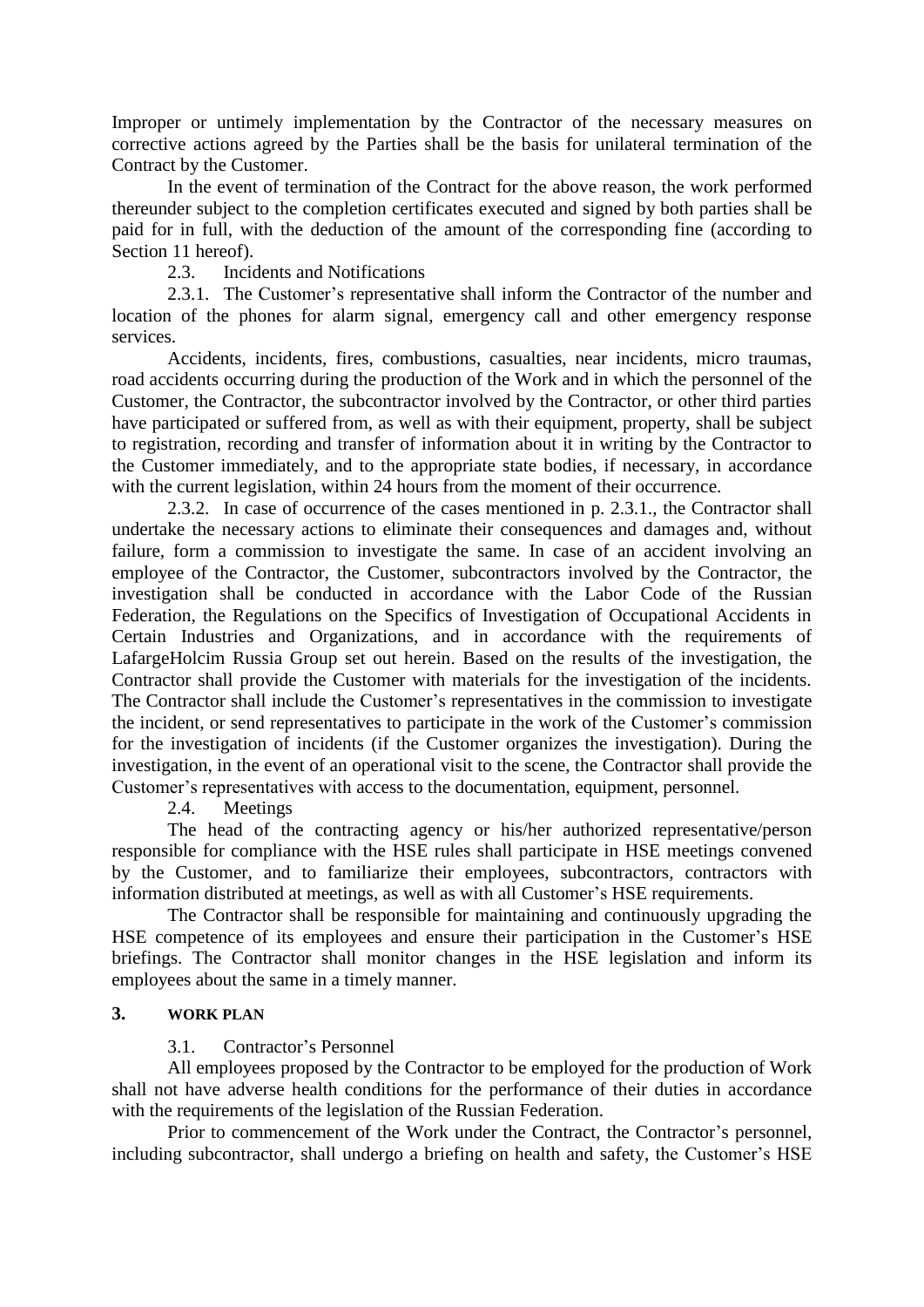Improper or untimely implementation by the Contractor of the necessary measures on corrective actions agreed by the Parties shall be the basis for unilateral termination of the Contract by the Customer.

In the event of termination of the Contract for the above reason, the work performed thereunder subject to the completion certificates executed and signed by both parties shall be paid for in full, with the deduction of the amount of the corresponding fine (according to Section 11 hereof).

2.3. Incidents and Notifications

2.3.1. The Customer's representative shall inform the Contractor of the number and location of the phones for alarm signal, emergency call and other emergency response services.

Accidents, incidents, fires, combustions, casualties, near incidents, micro traumas, road accidents occurring during the production of the Work and in which the personnel of the Customer, the Contractor, the subcontractor involved by the Contractor, or other third parties have participated or suffered from, as well as with their equipment, property, shall be subject to registration, recording and transfer of information about it in writing by the Contractor to the Customer immediately, and to the appropriate state bodies, if necessary, in accordance with the current legislation, within 24 hours from the moment of their occurrence.

2.3.2. In case of occurrence of the cases mentioned in p. 2.3.1., the Contractor shall undertake the necessary actions to eliminate their consequences and damages and, without failure, form a commission to investigate the same. In case of an accident involving an employee of the Contractor, the Customer, subcontractors involved by the Contractor, the investigation shall be conducted in accordance with the Labor Code of the Russian Federation, the Regulations on the Specifics of Investigation of Occupational Accidents in Certain Industries and Organizations, and in accordance with the requirements of LafargeHolcim Russia Group set out herein. Based on the results of the investigation, the Contractor shall provide the Customer with materials for the investigation of the incidents. The Contractor shall include the Customer's representatives in the commission to investigate the incident, or send representatives to participate in the work of the Customer's commission for the investigation of incidents (if the Customer organizes the investigation). During the investigation, in the event of an operational visit to the scene, the Contractor shall provide the Customer's representatives with access to the documentation, equipment, personnel.

2.4. Meetings

The head of the contracting agency or his/her authorized representative/person responsible for compliance with the HSE rules shall participate in HSE meetings convened by the Customer, and to familiarize their employees, subcontractors, contractors with information distributed at meetings, as well as with all Customer's HSE requirements.

The Contractor shall be responsible for maintaining and continuously upgrading the HSE competence of its employees and ensure their participation in the Customer's HSE briefings. The Contractor shall monitor changes in the HSE legislation and inform its employees about the same in a timely manner.

# **3. WORK PLAN**

## 3.1. Contractor's Personnel

All employees proposed by the Contractor to be employed for the production of Work shall not have adverse health conditions for the performance of their duties in accordance with the requirements of the legislation of the Russian Federation.

Prior to commencement of the Work under the Contract, the Contractor's personnel, including subcontractor, shall undergo a briefing on health and safety, the Customer's HSE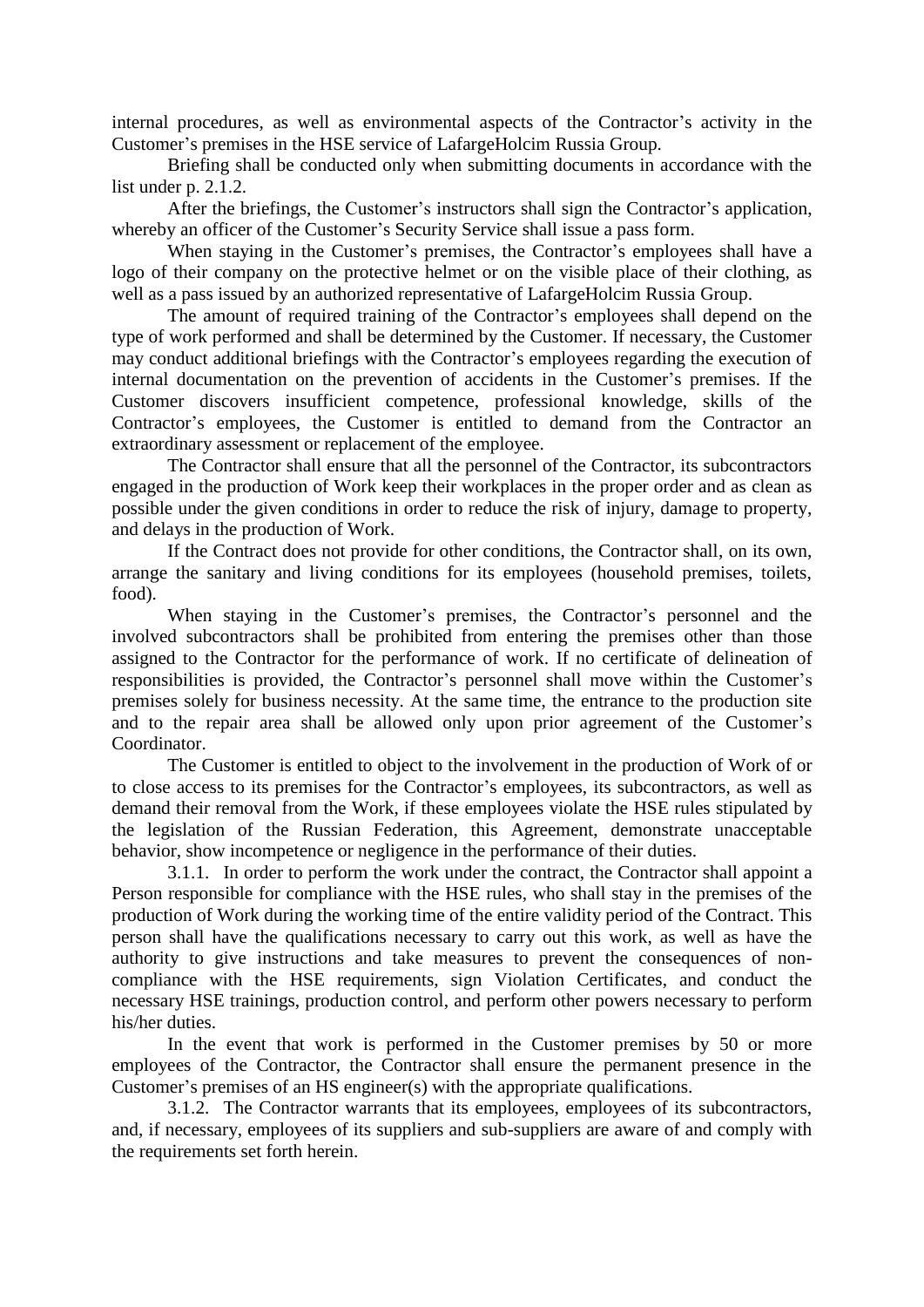internal procedures, as well as environmental aspects of the Contractor's activity in the Customer's premises in the HSE service of LafargeHolcim Russia Group.

Briefing shall be conducted only when submitting documents in accordance with the list under p. 2.1.2.

After the briefings, the Customer's instructors shall sign the Contractor's application, whereby an officer of the Customer's Security Service shall issue a pass form.

When staying in the Customer's premises, the Contractor's employees shall have a logo of their company on the protective helmet or on the visible place of their clothing, as well as a pass issued by an authorized representative of LafargeHolcim Russia Group.

The amount of required training of the Contractor's employees shall depend on the type of work performed and shall be determined by the Customer. If necessary, the Customer may conduct additional briefings with the Contractor's employees regarding the execution of internal documentation on the prevention of accidents in the Customer's premises. If the Customer discovers insufficient competence, professional knowledge, skills of the Contractor's employees, the Customer is entitled to demand from the Contractor an extraordinary assessment or replacement of the employee.

The Contractor shall ensure that all the personnel of the Contractor, its subcontractors engaged in the production of Work keep their workplaces in the proper order and as clean as possible under the given conditions in order to reduce the risk of injury, damage to property, and delays in the production of Work.

If the Contract does not provide for other conditions, the Contractor shall, on its own, arrange the sanitary and living conditions for its employees (household premises, toilets, food).

When staying in the Customer's premises, the Contractor's personnel and the involved subcontractors shall be prohibited from entering the premises other than those assigned to the Contractor for the performance of work. If no certificate of delineation of responsibilities is provided, the Contractor's personnel shall move within the Customer's premises solely for business necessity. At the same time, the entrance to the production site and to the repair area shall be allowed only upon prior agreement of the Customer's Coordinator.

The Customer is entitled to object to the involvement in the production of Work of or to close access to its premises for the Contractor's employees, its subcontractors, as well as demand their removal from the Work, if these employees violate the HSE rules stipulated by the legislation of the Russian Federation, this Agreement, demonstrate unacceptable behavior, show incompetence or negligence in the performance of their duties.

3.1.1. In order to perform the work under the contract, the Contractor shall appoint a Person responsible for compliance with the HSE rules, who shall stay in the premises of the production of Work during the working time of the entire validity period of the Contract. This person shall have the qualifications necessary to carry out this work, as well as have the authority to give instructions and take measures to prevent the consequences of noncompliance with the HSE requirements, sign Violation Certificates, and conduct the necessary HSE trainings, production control, and perform other powers necessary to perform his/her duties.

In the event that work is performed in the Customer premises by 50 or more employees of the Contractor, the Contractor shall ensure the permanent presence in the Customer's premises of an HS engineer(s) with the appropriate qualifications.

3.1.2. The Contractor warrants that its employees, employees of its subcontractors, and, if necessary, employees of its suppliers and sub-suppliers are aware of and comply with the requirements set forth herein.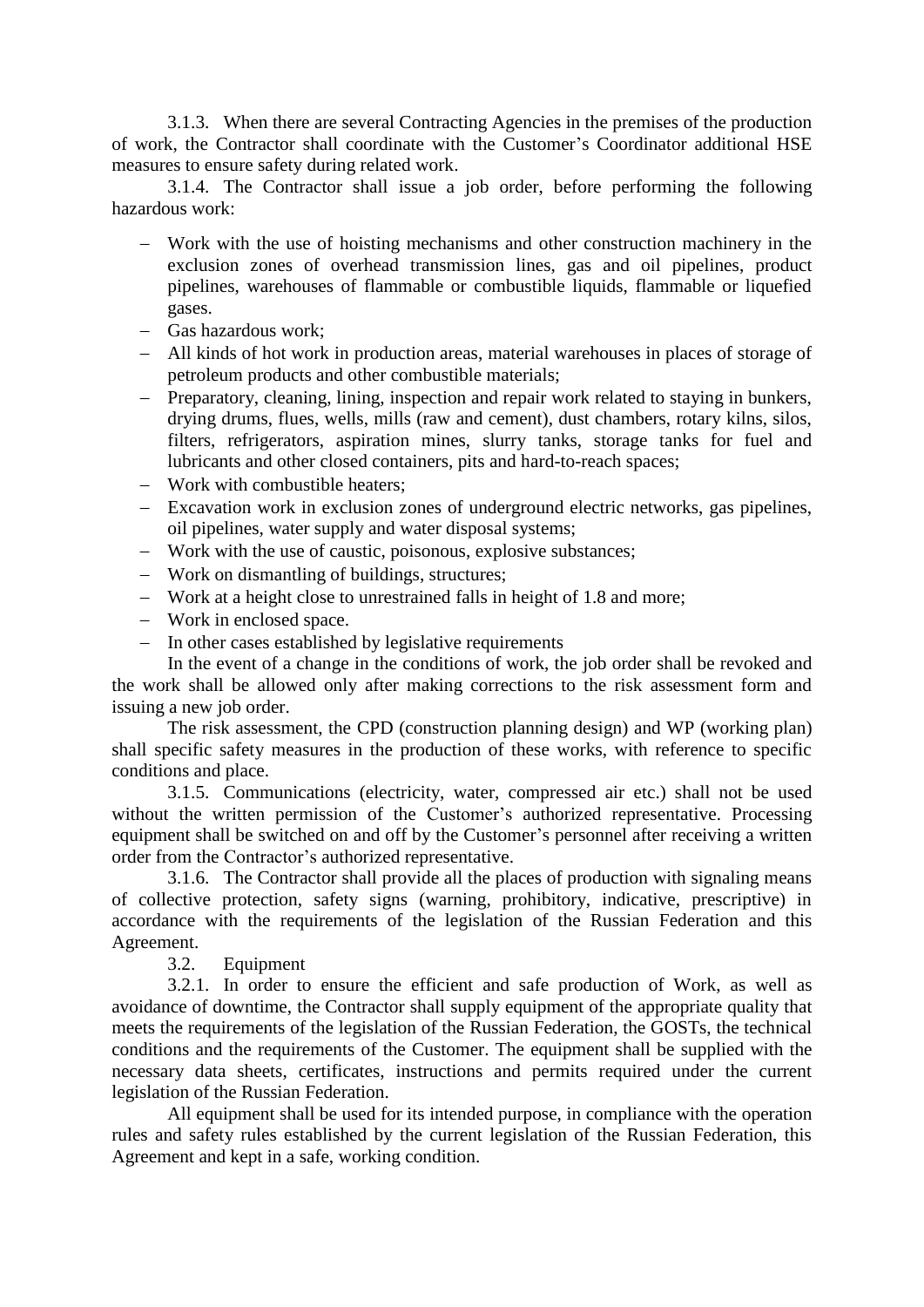3.1.3. When there are several Contracting Agencies in the premises of the production of work, the Contractor shall coordinate with the Customer's Coordinator additional HSE measures to ensure safety during related work.

3.1.4. The Contractor shall issue a job order, before performing the following hazardous work:

- Work with the use of hoisting mechanisms and other construction machinery in the exclusion zones of overhead transmission lines, gas and oil pipelines, product pipelines, warehouses of flammable or combustible liquids, flammable or liquefied gases.
- Gas hazardous work;
- All kinds of hot work in production areas, material warehouses in places of storage of petroleum products and other combustible materials;
- Preparatory, cleaning, lining, inspection and repair work related to staying in bunkers, drying drums, flues, wells, mills (raw and cement), dust chambers, rotary kilns, silos, filters, refrigerators, aspiration mines, slurry tanks, storage tanks for fuel and lubricants and other closed containers, pits and hard-to-reach spaces;
- Work with combustible heaters:
- Excavation work in exclusion zones of underground electric networks, gas pipelines, oil pipelines, water supply and water disposal systems;
- Work with the use of caustic, poisonous, explosive substances;
- Work on dismantling of buildings, structures;
- Work at a height close to unrestrained falls in height of 1.8 and more;
- Work in enclosed space.
- In other cases established by legislative requirements

In the event of a change in the conditions of work, the job order shall be revoked and the work shall be allowed only after making corrections to the risk assessment form and issuing a new job order.

The risk assessment, the CPD (construction planning design) and WP (working plan) shall specific safety measures in the production of these works, with reference to specific conditions and place.

3.1.5. Communications (electricity, water, compressed air etc.) shall not be used without the written permission of the Customer's authorized representative. Processing equipment shall be switched on and off by the Customer's personnel after receiving a written order from the Contractor's authorized representative.

3.1.6. The Contractor shall provide all the places of production with signaling means of collective protection, safety signs (warning, prohibitory, indicative, prescriptive) in accordance with the requirements of the legislation of the Russian Federation and this Agreement.

3.2. Equipment

3.2.1. In order to ensure the efficient and safe production of Work, as well as avoidance of downtime, the Contractor shall supply equipment of the appropriate quality that meets the requirements of the legislation of the Russian Federation, the GOSTs, the technical conditions and the requirements of the Customer. The equipment shall be supplied with the necessary data sheets, certificates, instructions and permits required under the current legislation of the Russian Federation.

All equipment shall be used for its intended purpose, in compliance with the operation rules and safety rules established by the current legislation of the Russian Federation, this Agreement and kept in a safe, working condition.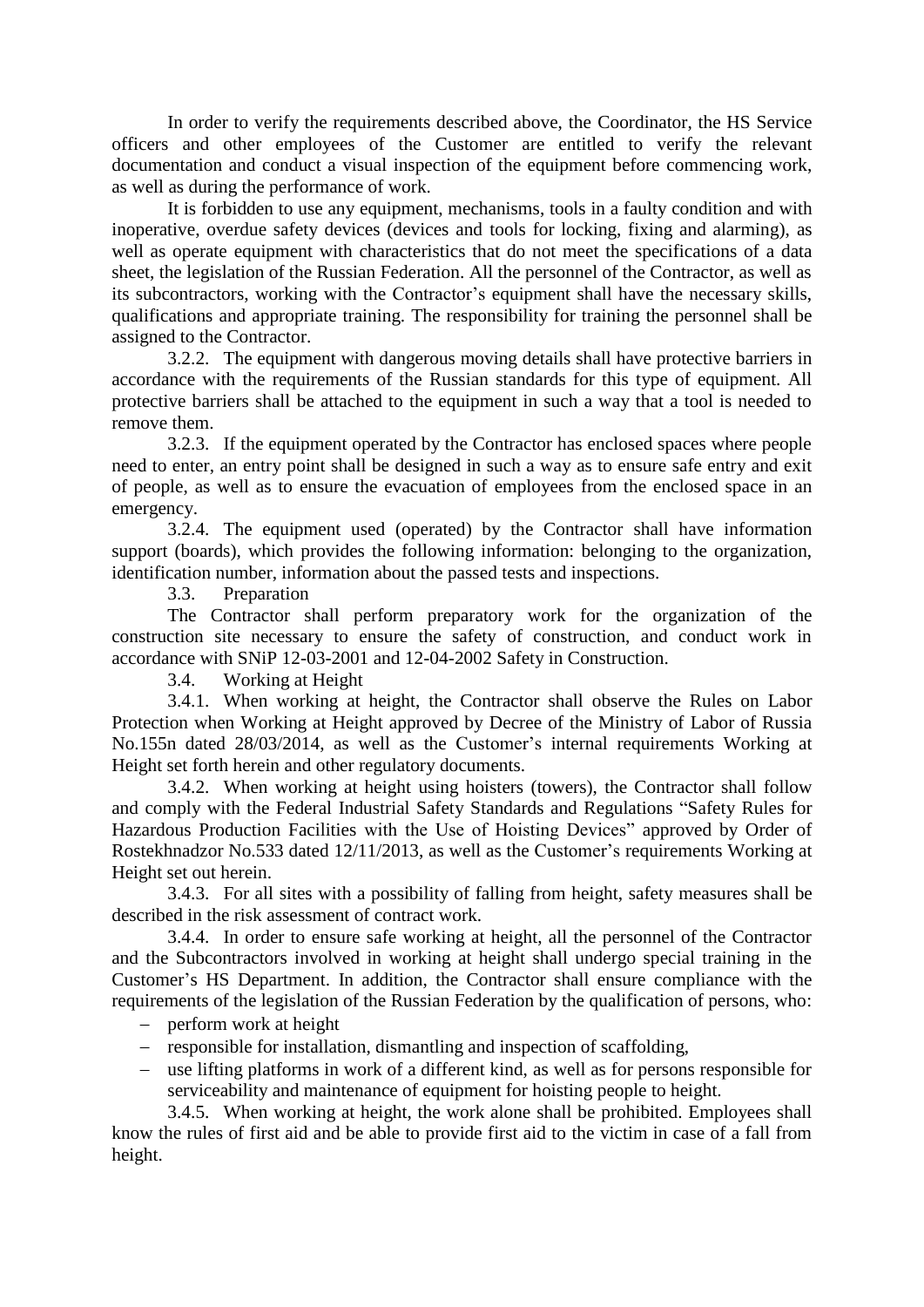In order to verify the requirements described above, the Coordinator, the HS Service officers and other employees of the Customer are entitled to verify the relevant documentation and conduct a visual inspection of the equipment before commencing work, as well as during the performance of work.

It is forbidden to use any equipment, mechanisms, tools in a faulty condition and with inoperative, overdue safety devices (devices and tools for locking, fixing and alarming), as well as operate equipment with characteristics that do not meet the specifications of a data sheet, the legislation of the Russian Federation. All the personnel of the Contractor, as well as its subcontractors, working with the Contractor's equipment shall have the necessary skills, qualifications and appropriate training. The responsibility for training the personnel shall be assigned to the Contractor.

3.2.2. The equipment with dangerous moving details shall have protective barriers in accordance with the requirements of the Russian standards for this type of equipment. All protective barriers shall be attached to the equipment in such a way that a tool is needed to remove them.

3.2.3. If the equipment operated by the Contractor has enclosed spaces where people need to enter, an entry point shall be designed in such a way as to ensure safe entry and exit of people, as well as to ensure the evacuation of employees from the enclosed space in an emergency.

3.2.4. The equipment used (operated) by the Contractor shall have information support (boards), which provides the following information: belonging to the organization, identification number, information about the passed tests and inspections.

3.3. Preparation

The Contractor shall perform preparatory work for the organization of the construction site necessary to ensure the safety of construction, and conduct work in accordance with SNiP 12-03-2001 and 12-04-2002 Safety in Construction.

3.4. Working at Height

3.4.1. When working at height, the Contractor shall observe the Rules on Labor Protection when Working at Height approved by Decree of the Ministry of Labor of Russia No.155n dated 28/03/2014, as well as the Customer's internal requirements Working at Height set forth herein and other regulatory documents.

3.4.2. When working at height using hoisters (towers), the Contractor shall follow and comply with the Federal Industrial Safety Standards and Regulations "Safety Rules for Hazardous Production Facilities with the Use of Hoisting Devices" approved by Order of Rostekhnadzor No.533 dated 12/11/2013, as well as the Customer's requirements Working at Height set out herein.

3.4.3. For all sites with a possibility of falling from height, safety measures shall be described in the risk assessment of contract work.

3.4.4. In order to ensure safe working at height, all the personnel of the Contractor and the Subcontractors involved in working at height shall undergo special training in the Customer's HS Department. In addition, the Contractor shall ensure compliance with the requirements of the legislation of the Russian Federation by the qualification of persons, who:

- $-$  perform work at height
- responsible for installation, dismantling and inspection of scaffolding,
- use lifting platforms in work of a different kind, as well as for persons responsible for serviceability and maintenance of equipment for hoisting people to height.

3.4.5. When working at height, the work alone shall be prohibited. Employees shall know the rules of first aid and be able to provide first aid to the victim in case of a fall from height.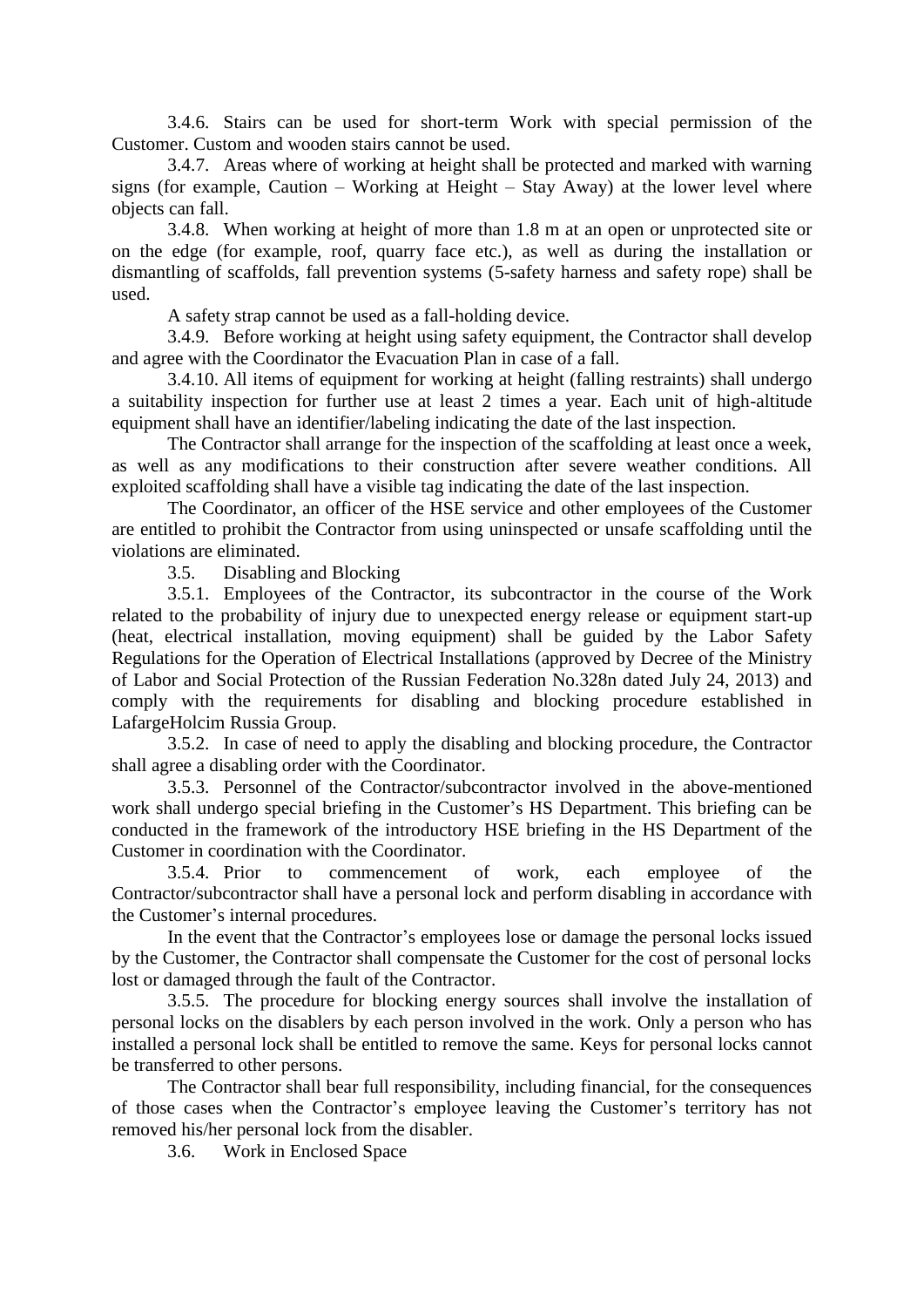3.4.6. Stairs can be used for short-term Work with special permission of the Customer. Custom and wooden stairs cannot be used.

3.4.7. Areas where of working at height shall be protected and marked with warning signs (for example, Caution – Working at Height – Stay Away) at the lower level where objects can fall.

3.4.8. When working at height of more than 1.8 m at an open or unprotected site or on the edge (for example, roof, quarry face etc.), as well as during the installation or dismantling of scaffolds, fall prevention systems (5-safety harness and safety rope) shall be used.

A safety strap cannot be used as a fall-holding device.

3.4.9. Before working at height using safety equipment, the Contractor shall develop and agree with the Coordinator the Evacuation Plan in case of a fall.

3.4.10. All items of equipment for working at height (falling restraints) shall undergo a suitability inspection for further use at least 2 times a year. Each unit of high-altitude equipment shall have an identifier/labeling indicating the date of the last inspection.

The Contractor shall arrange for the inspection of the scaffolding at least once a week, as well as any modifications to their construction after severe weather conditions. All exploited scaffolding shall have a visible tag indicating the date of the last inspection.

The Coordinator, an officer of the HSE service and other employees of the Customer are entitled to prohibit the Contractor from using uninspected or unsafe scaffolding until the violations are eliminated.

3.5. Disabling and Blocking

3.5.1. Employees of the Contractor, its subcontractor in the course of the Work related to the probability of injury due to unexpected energy release or equipment start-up (heat, electrical installation, moving equipment) shall be guided by the Labor Safety Regulations for the Operation of Electrical Installations (approved by Decree of the Ministry of Labor and Social Protection of the Russian Federation No.328n dated July 24, 2013) and comply with the requirements for disabling and blocking procedure established in LafargeHolcim Russia Group.

3.5.2. In case of need to apply the disabling and blocking procedure, the Contractor shall agree a disabling order with the Coordinator.

3.5.3. Personnel of the Contractor/subcontractor involved in the above-mentioned work shall undergo special briefing in the Customer's HS Department. This briefing can be conducted in the framework of the introductory HSE briefing in the HS Department of the Customer in coordination with the Coordinator.

3.5.4. Prior to commencement of work, each employee of the Contractor/subcontractor shall have a personal lock and perform disabling in accordance with the Customer's internal procedures.

In the event that the Contractor's employees lose or damage the personal locks issued by the Customer, the Contractor shall compensate the Customer for the cost of personal locks lost or damaged through the fault of the Contractor.

3.5.5. The procedure for blocking energy sources shall involve the installation of personal locks on the disablers by each person involved in the work. Only a person who has installed a personal lock shall be entitled to remove the same. Keys for personal locks cannot be transferred to other persons.

The Contractor shall bear full responsibility, including financial, for the consequences of those cases when the Contractor's employee leaving the Customer's territory has not removed his/her personal lock from the disabler.

3.6. Work in Enclosed Space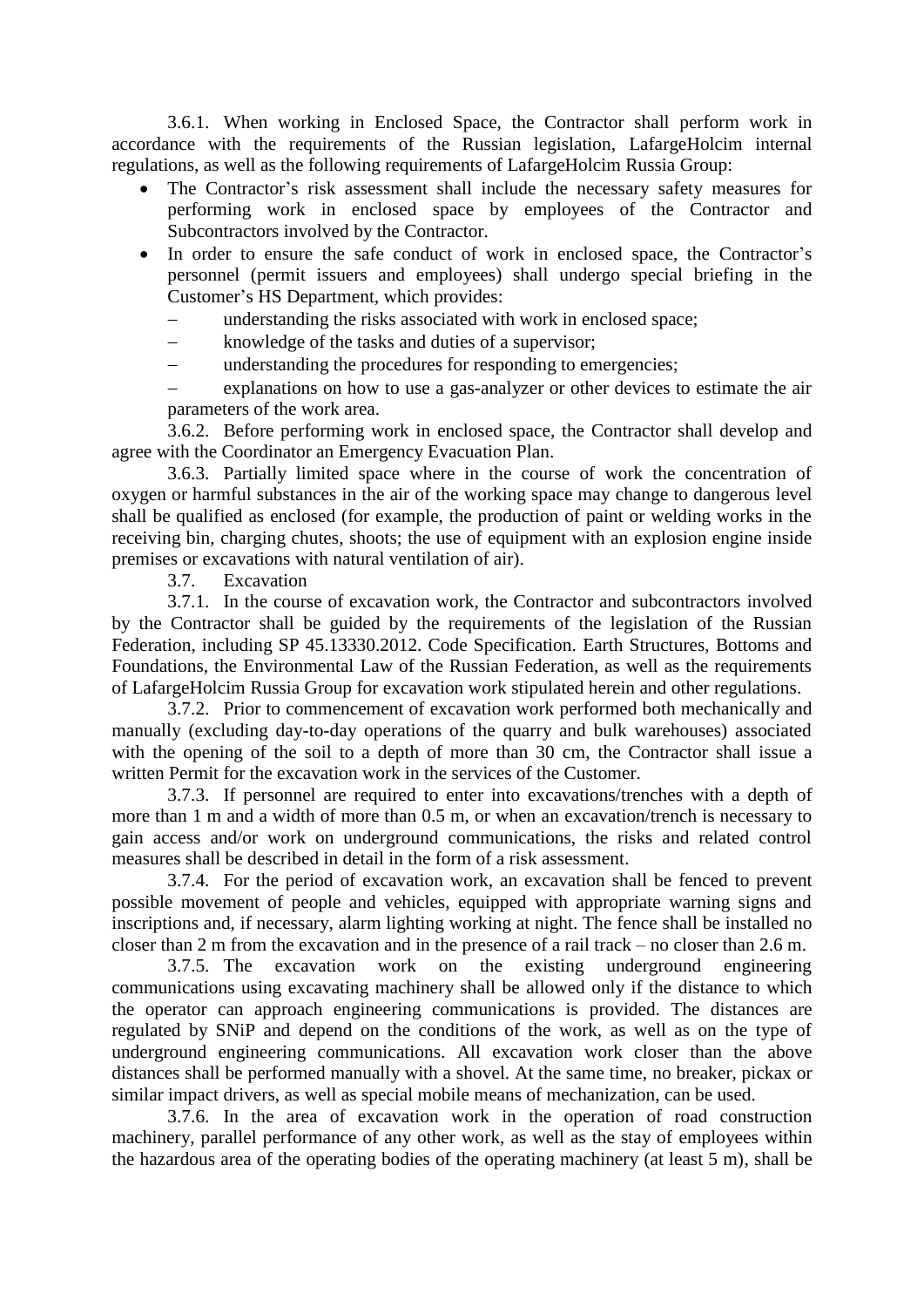3.6.1. When working in Enclosed Space, the Contractor shall perform work in accordance with the requirements of the Russian legislation, LafargeHolcim internal regulations, as well as the following requirements of LafargeHolcim Russia Group:

- The Contractor's risk assessment shall include the necessary safety measures for performing work in enclosed space by employees of the Contractor and Subcontractors involved by the Contractor.
- In order to ensure the safe conduct of work in enclosed space, the Contractor's personnel (permit issuers and employees) shall undergo special briefing in the Customer's HS Department, which provides:
	- understanding the risks associated with work in enclosed space;
	- knowledge of the tasks and duties of a supervisor;
	- understanding the procedures for responding to emergencies;
	- explanations on how to use a gas-analyzer or other devices to estimate the air parameters of the work area.

3.6.2. Before performing work in enclosed space, the Contractor shall develop and agree with the Coordinator an Emergency Evacuation Plan.

3.6.3. Partially limited space where in the course of work the concentration of oxygen or harmful substances in the air of the working space may change to dangerous level shall be qualified as enclosed (for example, the production of paint or welding works in the receiving bin, charging chutes, shoots; the use of equipment with an explosion engine inside premises or excavations with natural ventilation of air).

3.7. Excavation

3.7.1. In the course of excavation work, the Contractor and subcontractors involved by the Contractor shall be guided by the requirements of the legislation of the Russian Federation, including SP 45.13330.2012. Code Specification. Earth Structures, Bottoms and Foundations, the Environmental Law of the Russian Federation, as well as the requirements of LafargeHolcim Russia Group for excavation work stipulated herein and other regulations.

3.7.2. Prior to commencement of excavation work performed both mechanically and manually (excluding day-to-day operations of the quarry and bulk warehouses) associated with the opening of the soil to a depth of more than 30 cm, the Contractor shall issue a written Permit for the excavation work in the services of the Customer.

3.7.3. If personnel are required to enter into excavations/trenches with a depth of more than 1 m and a width of more than 0.5 m, or when an excavation/trench is necessary to gain access and/or work on underground communications, the risks and related control measures shall be described in detail in the form of a risk assessment.

3.7.4. For the period of excavation work, an excavation shall be fenced to prevent possible movement of people and vehicles, equipped with appropriate warning signs and inscriptions and, if necessary, alarm lighting working at night. The fence shall be installed no closer than 2 m from the excavation and in the presence of a rail track – no closer than 2.6 m.

3.7.5. The excavation work on the existing underground engineering communications using excavating machinery shall be allowed only if the distance to which the operator can approach engineering communications is provided. The distances are regulated by SNiP and depend on the conditions of the work, as well as on the type of underground engineering communications. All excavation work closer than the above distances shall be performed manually with a shovel. At the same time, no breaker, pickax or similar impact drivers, as well as special mobile means of mechanization, can be used.

3.7.6. In the area of excavation work in the operation of road construction machinery, parallel performance of any other work, as well as the stay of employees within the hazardous area of the operating bodies of the operating machinery (at least 5 m), shall be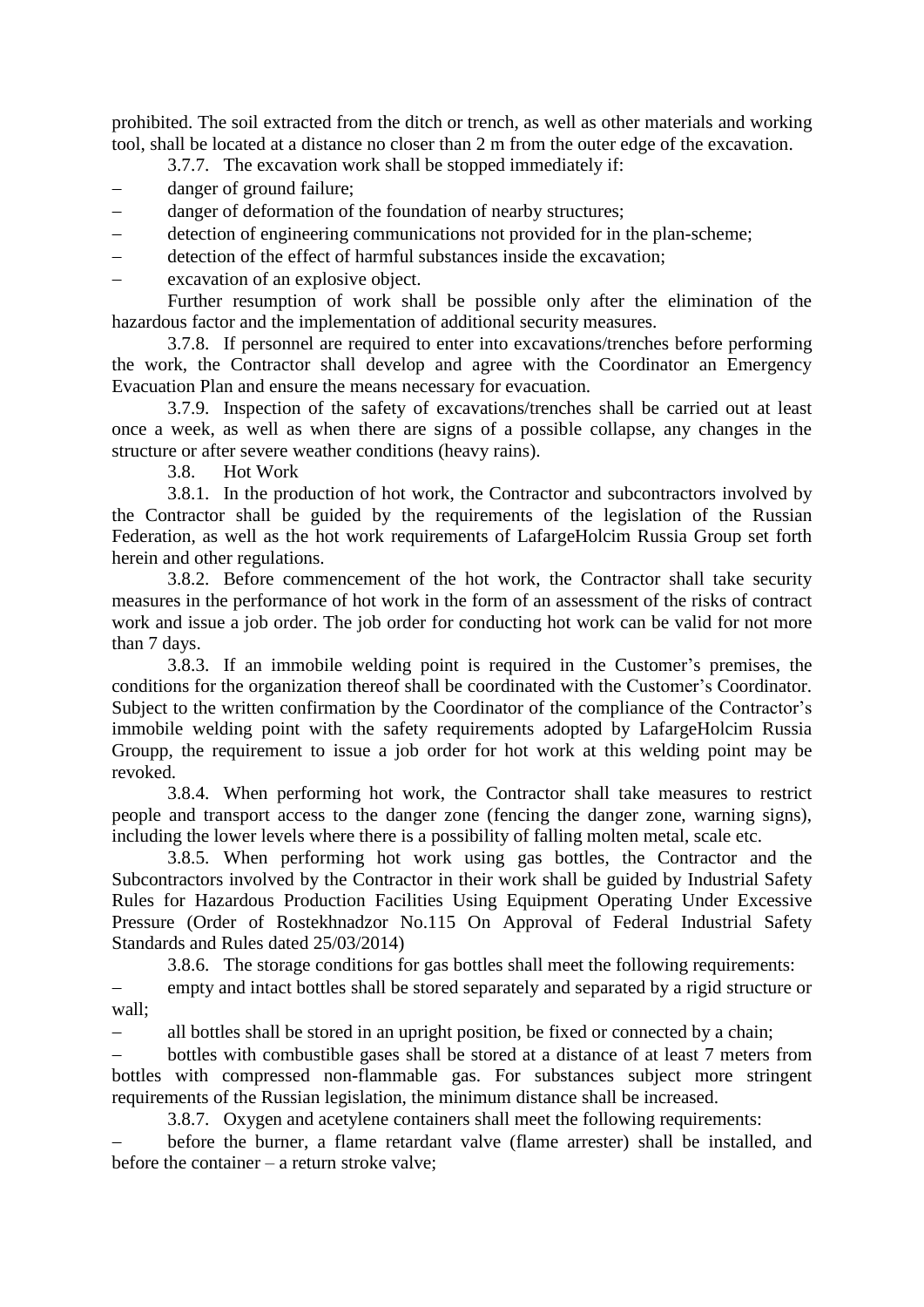prohibited. The soil extracted from the ditch or trench, as well as other materials and working tool, shall be located at a distance no closer than 2 m from the outer edge of the excavation.

3.7.7. The excavation work shall be stopped immediately if:

- danger of ground failure;
- danger of deformation of the foundation of nearby structures;
- detection of engineering communications not provided for in the plan-scheme;
- detection of the effect of harmful substances inside the excavation;
- excavation of an explosive object.

Further resumption of work shall be possible only after the elimination of the hazardous factor and the implementation of additional security measures.

3.7.8. If personnel are required to enter into excavations/trenches before performing the work, the Contractor shall develop and agree with the Coordinator an Emergency Evacuation Plan and ensure the means necessary for evacuation.

3.7.9. Inspection of the safety of excavations/trenches shall be carried out at least once a week, as well as when there are signs of a possible collapse, any changes in the structure or after severe weather conditions (heavy rains).

3.8. Hot Work

3.8.1. In the production of hot work, the Contractor and subcontractors involved by the Contractor shall be guided by the requirements of the legislation of the Russian Federation, as well as the hot work requirements of LafargeHolcim Russia Group set forth herein and other regulations.

3.8.2. Before commencement of the hot work, the Contractor shall take security measures in the performance of hot work in the form of an assessment of the risks of contract work and issue a job order. The job order for conducting hot work can be valid for not more than 7 days.

3.8.3. If an immobile welding point is required in the Customer's premises, the conditions for the organization thereof shall be coordinated with the Customer's Coordinator. Subject to the written confirmation by the Coordinator of the compliance of the Contractor's immobile welding point with the safety requirements adopted by LafargeHolcim Russia Groupp, the requirement to issue a job order for hot work at this welding point may be revoked.

3.8.4. When performing hot work, the Contractor shall take measures to restrict people and transport access to the danger zone (fencing the danger zone, warning signs), including the lower levels where there is a possibility of falling molten metal, scale etc.

3.8.5. When performing hot work using gas bottles, the Contractor and the Subcontractors involved by the Contractor in their work shall be guided by Industrial Safety Rules for Hazardous Production Facilities Using Equipment Operating Under Excessive Pressure (Order of Rostekhnadzor No.115 On Approval of Federal Industrial Safety Standards and Rules dated 25/03/2014)

3.8.6. The storage conditions for gas bottles shall meet the following requirements:

 empty and intact bottles shall be stored separately and separated by a rigid structure or wall;

all bottles shall be stored in an upright position, be fixed or connected by a chain;

 bottles with combustible gases shall be stored at a distance of at least 7 meters from bottles with compressed non-flammable gas. For substances subject more stringent requirements of the Russian legislation, the minimum distance shall be increased.

3.8.7. Oxygen and acetylene containers shall meet the following requirements:

 before the burner, a flame retardant valve (flame arrester) shall be installed, and before the container – a return stroke valve;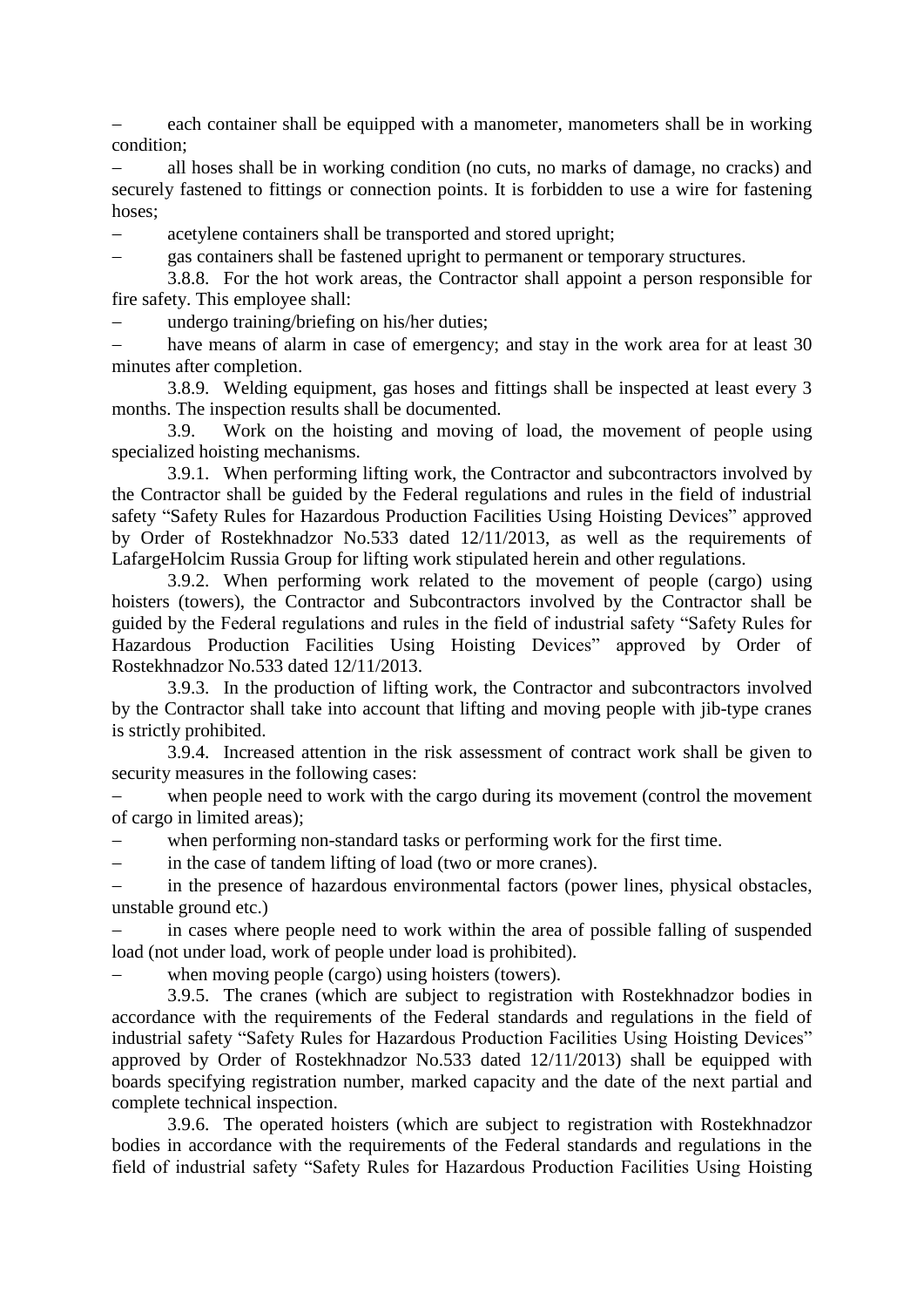each container shall be equipped with a manometer, manometers shall be in working condition;

 all hoses shall be in working condition (no cuts, no marks of damage, no cracks) and securely fastened to fittings or connection points. It is forbidden to use a wire for fastening hoses;

acetylene containers shall be transported and stored upright;

gas containers shall be fastened upright to permanent or temporary structures.

3.8.8. For the hot work areas, the Contractor shall appoint a person responsible for fire safety. This employee shall:

undergo training/briefing on his/her duties;

 have means of alarm in case of emergency; and stay in the work area for at least 30 minutes after completion.

3.8.9. Welding equipment, gas hoses and fittings shall be inspected at least every 3 months. The inspection results shall be documented.

3.9. Work on the hoisting and moving of load, the movement of people using specialized hoisting mechanisms.

3.9.1. When performing lifting work, the Contractor and subcontractors involved by the Contractor shall be guided by the Federal regulations and rules in the field of industrial safety "Safety Rules for Hazardous Production Facilities Using Hoisting Devices" approved by Order of Rostekhnadzor No.533 dated 12/11/2013, as well as the requirements of LafargeHolcim Russia Group for lifting work stipulated herein and other regulations.

3.9.2. When performing work related to the movement of people (cargo) using hoisters (towers), the Contractor and Subcontractors involved by the Contractor shall be guided by the Federal regulations and rules in the field of industrial safety "Safety Rules for Hazardous Production Facilities Using Hoisting Devices" approved by Order of Rostekhnadzor No.533 dated 12/11/2013.

3.9.3. In the production of lifting work, the Contractor and subcontractors involved by the Contractor shall take into account that lifting and moving people with jib-type cranes is strictly prohibited.

3.9.4. Increased attention in the risk assessment of contract work shall be given to security measures in the following cases:

when people need to work with the cargo during its movement (control the movement of cargo in limited areas);

when performing non-standard tasks or performing work for the first time.

in the case of tandem lifting of load (two or more cranes).

 in the presence of hazardous environmental factors (power lines, physical obstacles, unstable ground etc.)

 in cases where people need to work within the area of possible falling of suspended load (not under load, work of people under load is prohibited).

when moving people (cargo) using hoisters (towers).

3.9.5. The cranes (which are subject to registration with Rostekhnadzor bodies in accordance with the requirements of the Federal standards and regulations in the field of industrial safety "Safety Rules for Hazardous Production Facilities Using Hoisting Devices" approved by Order of Rostekhnadzor No.533 dated 12/11/2013) shall be equipped with boards specifying registration number, marked capacity and the date of the next partial and complete technical inspection.

3.9.6. The operated hoisters (which are subject to registration with Rostekhnadzor bodies in accordance with the requirements of the Federal standards and regulations in the field of industrial safety "Safety Rules for Hazardous Production Facilities Using Hoisting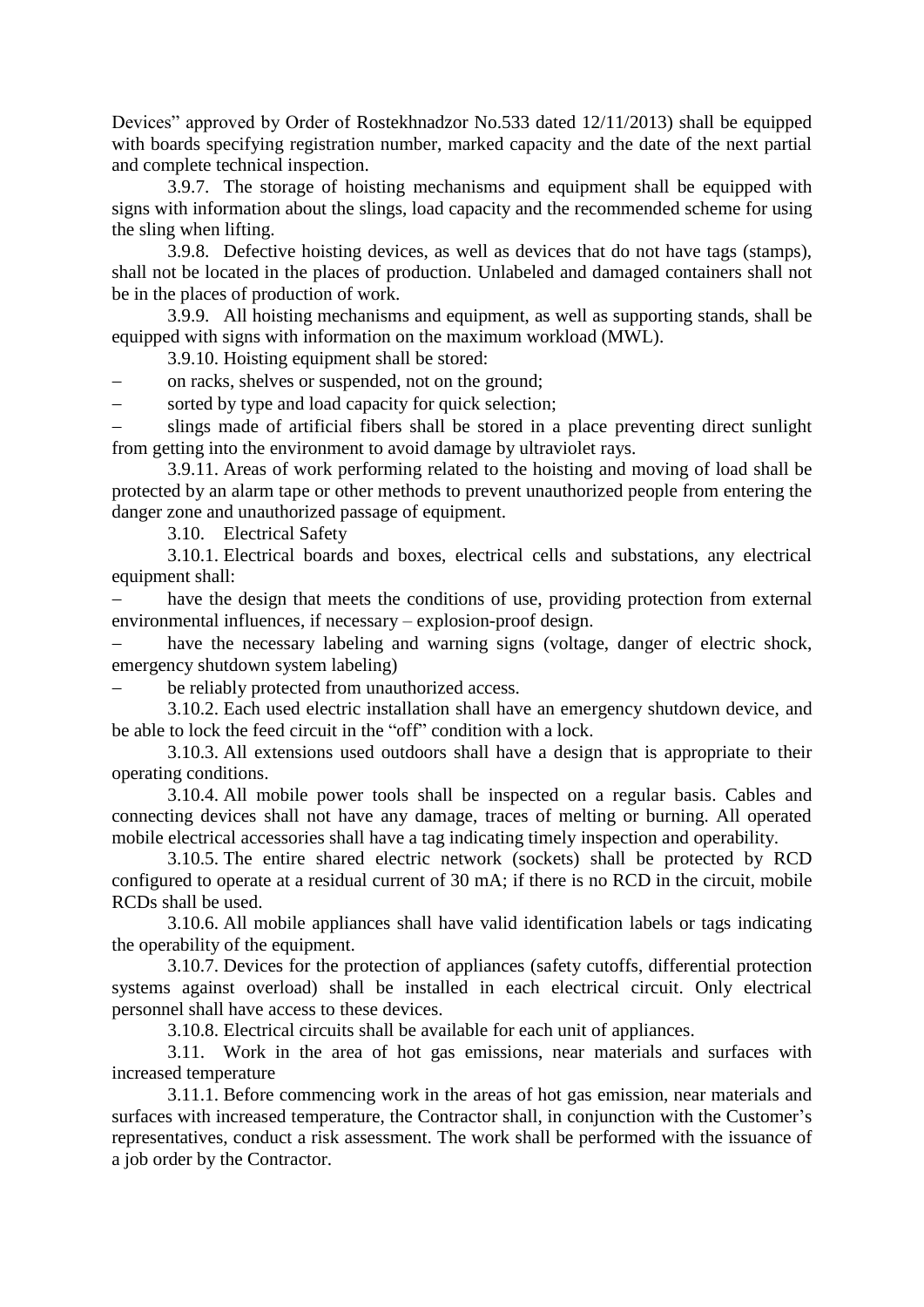Devices" approved by Order of Rostekhnadzor No.533 dated 12/11/2013) shall be equipped with boards specifying registration number, marked capacity and the date of the next partial and complete technical inspection.

3.9.7. The storage of hoisting mechanisms and equipment shall be equipped with signs with information about the slings, load capacity and the recommended scheme for using the sling when lifting.

3.9.8. Defective hoisting devices, as well as devices that do not have tags (stamps), shall not be located in the places of production. Unlabeled and damaged containers shall not be in the places of production of work.

3.9.9. All hoisting mechanisms and equipment, as well as supporting stands, shall be equipped with signs with information on the maximum workload (MWL).

3.9.10. Hoisting equipment shall be stored:

on racks, shelves or suspended, not on the ground;

sorted by type and load capacity for quick selection;

 slings made of artificial fibers shall be stored in a place preventing direct sunlight from getting into the environment to avoid damage by ultraviolet rays.

3.9.11. Areas of work performing related to the hoisting and moving of load shall be protected by an alarm tape or other methods to prevent unauthorized people from entering the danger zone and unauthorized passage of equipment.

3.10. Electrical Safety

3.10.1. Electrical boards and boxes, electrical cells and substations, any electrical equipment shall:

 have the design that meets the conditions of use, providing protection from external environmental influences, if necessary – explosion-proof design.

 have the necessary labeling and warning signs (voltage, danger of electric shock, emergency shutdown system labeling)

be reliably protected from unauthorized access.

3.10.2. Each used electric installation shall have an emergency shutdown device, and be able to lock the feed circuit in the "off" condition with a lock.

3.10.3. All extensions used outdoors shall have a design that is appropriate to their operating conditions.

3.10.4. All mobile power tools shall be inspected on a regular basis. Cables and connecting devices shall not have any damage, traces of melting or burning. All operated mobile electrical accessories shall have a tag indicating timely inspection and operability.

3.10.5. The entire shared electric network (sockets) shall be protected by RCD configured to operate at a residual current of 30 mA; if there is no RCD in the circuit, mobile RCDs shall be used.

3.10.6. All mobile appliances shall have valid identification labels or tags indicating the operability of the equipment.

3.10.7. Devices for the protection of appliances (safety cutoffs, differential protection systems against overload) shall be installed in each electrical circuit. Only electrical personnel shall have access to these devices.

3.10.8. Electrical circuits shall be available for each unit of appliances.

3.11. Work in the area of hot gas emissions, near materials and surfaces with increased temperature

3.11.1. Before commencing work in the areas of hot gas emission, near materials and surfaces with increased temperature, the Contractor shall, in conjunction with the Customer's representatives, conduct a risk assessment. The work shall be performed with the issuance of a job order by the Contractor.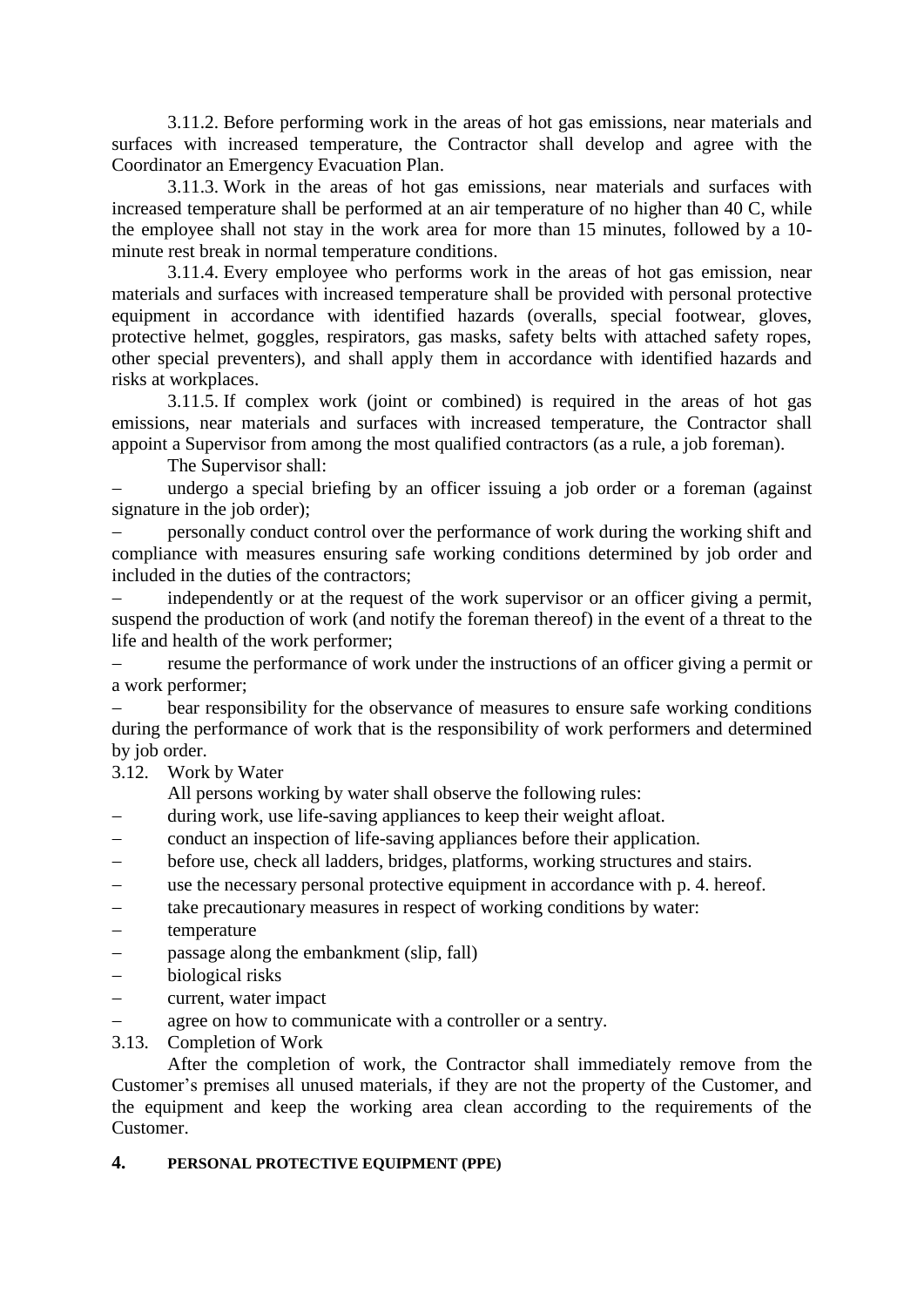3.11.2. Before performing work in the areas of hot gas emissions, near materials and surfaces with increased temperature, the Contractor shall develop and agree with the Coordinator an Emergency Evacuation Plan.

3.11.3. Work in the areas of hot gas emissions, near materials and surfaces with increased temperature shall be performed at an air temperature of no higher than 40 C, while the employee shall not stay in the work area for more than 15 minutes, followed by a 10 minute rest break in normal temperature conditions.

3.11.4. Every employee who performs work in the areas of hot gas emission, near materials and surfaces with increased temperature shall be provided with personal protective equipment in accordance with identified hazards (overalls, special footwear, gloves, protective helmet, goggles, respirators, gas masks, safety belts with attached safety ropes, other special preventers), and shall apply them in accordance with identified hazards and risks at workplaces.

3.11.5. If complex work (joint or combined) is required in the areas of hot gas emissions, near materials and surfaces with increased temperature, the Contractor shall appoint a Supervisor from among the most qualified contractors (as a rule, a job foreman).

The Supervisor shall:

 undergo a special briefing by an officer issuing a job order or a foreman (against signature in the job order);

 personally conduct control over the performance of work during the working shift and compliance with measures ensuring safe working conditions determined by job order and included in the duties of the contractors;

 independently or at the request of the work supervisor or an officer giving a permit, suspend the production of work (and notify the foreman thereof) in the event of a threat to the life and health of the work performer;

 resume the performance of work under the instructions of an officer giving a permit or a work performer;

 bear responsibility for the observance of measures to ensure safe working conditions during the performance of work that is the responsibility of work performers and determined by job order.

## 3.12. Work by Water

All persons working by water shall observe the following rules:

- during work, use life-saving appliances to keep their weight afloat.
- conduct an inspection of life-saving appliances before their application.
- before use, check all ladders, bridges, platforms, working structures and stairs.
- use the necessary personal protective equipment in accordance with p. 4. hereof.
- take precautionary measures in respect of working conditions by water:
- temperature
- passage along the embankment (slip, fall)
- biological risks
- current, water impact
- agree on how to communicate with a controller or a sentry.
- 3.13. Completion of Work

After the completion of work, the Contractor shall immediately remove from the Customer's premises all unused materials, if they are not the property of the Customer, and the equipment and keep the working area clean according to the requirements of the Customer.

## **4. PERSONAL PROTECTIVE EQUIPMENT (PPE)**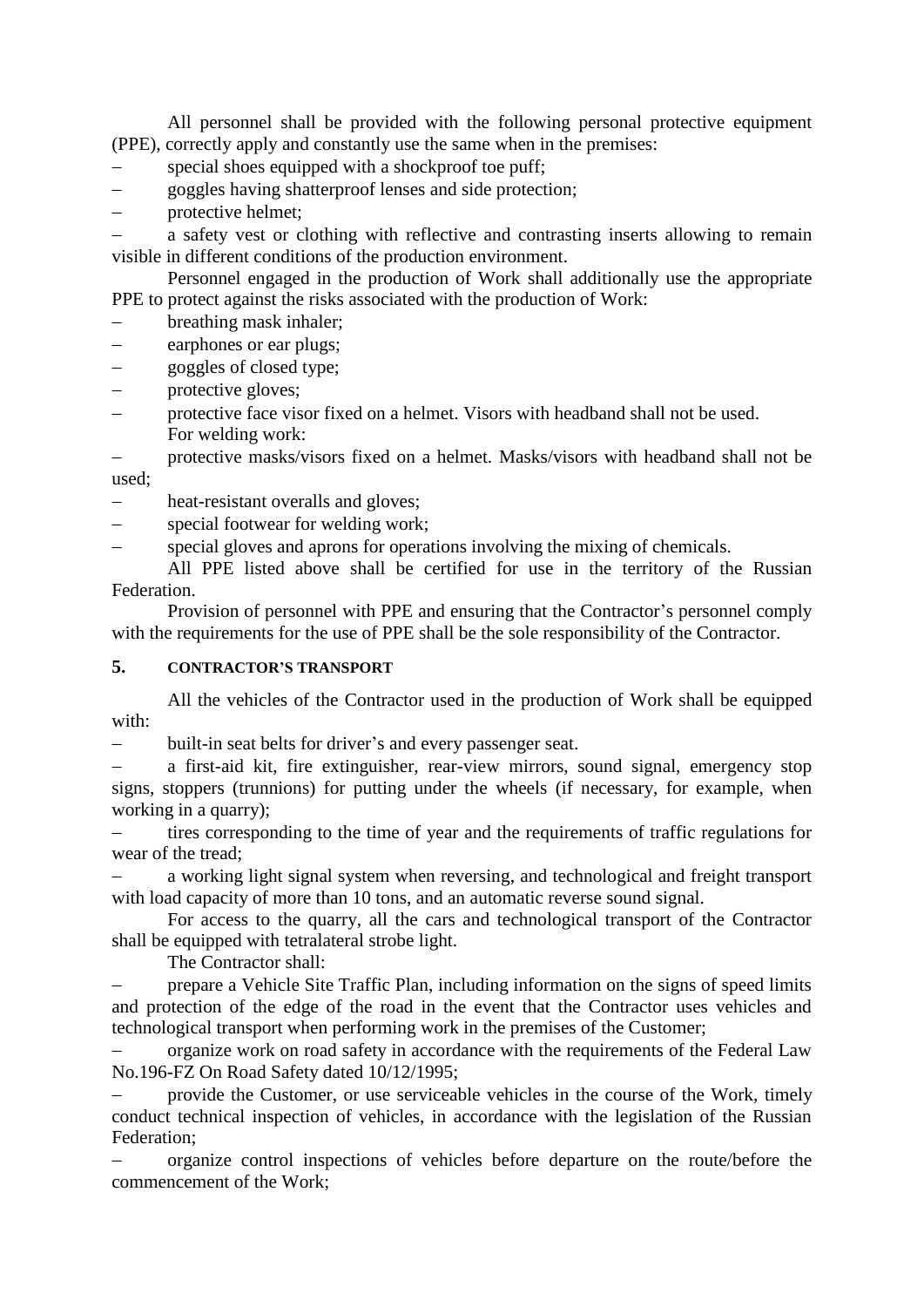All personnel shall be provided with the following personal protective equipment (PPE), correctly apply and constantly use the same when in the premises:

- special shoes equipped with a shockproof toe puff;
- goggles having shatterproof lenses and side protection;
- protective helmet;

 a safety vest or clothing with reflective and contrasting inserts allowing to remain visible in different conditions of the production environment.

Personnel engaged in the production of Work shall additionally use the appropriate PPE to protect against the risks associated with the production of Work:

- breathing mask inhaler;
- earphones or ear plugs;
- goggles of closed type;
- protective gloves;
- protective face visor fixed on a helmet. Visors with headband shall not be used. For welding work:

 protective masks/visors fixed on a helmet. Masks/visors with headband shall not be used;

- heat-resistant overalls and gloves;
- special footwear for welding work;
- special gloves and aprons for operations involving the mixing of chemicals.

All PPE listed above shall be certified for use in the territory of the Russian Federation.

Provision of personnel with PPE and ensuring that the Contractor's personnel comply with the requirements for the use of PPE shall be the sole responsibility of the Contractor.

#### **5. CONTRACTOR'S TRANSPORT**

All the vehicles of the Contractor used in the production of Work shall be equipped with:

built-in seat belts for driver's and every passenger seat.

 a first-aid kit, fire extinguisher, rear-view mirrors, sound signal, emergency stop signs, stoppers (trunnions) for putting under the wheels (if necessary, for example, when working in a quarry);

- tires corresponding to the time of year and the requirements of traffic regulations for wear of the tread;

 a working light signal system when reversing, and technological and freight transport with load capacity of more than 10 tons, and an automatic reverse sound signal.

For access to the quarry, all the cars and technological transport of the Contractor shall be equipped with tetralateral strobe light.

The Contractor shall:

 prepare a Vehicle Site Traffic Plan, including information on the signs of speed limits and protection of the edge of the road in the event that the Contractor uses vehicles and technological transport when performing work in the premises of the Customer;

 organize work on road safety in accordance with the requirements of the Federal Law No.196-FZ On Road Safety dated 10/12/1995;

 provide the Customer, or use serviceable vehicles in the course of the Work, timely conduct technical inspection of vehicles, in accordance with the legislation of the Russian Federation;

 organize control inspections of vehicles before departure on the route/before the commencement of the Work;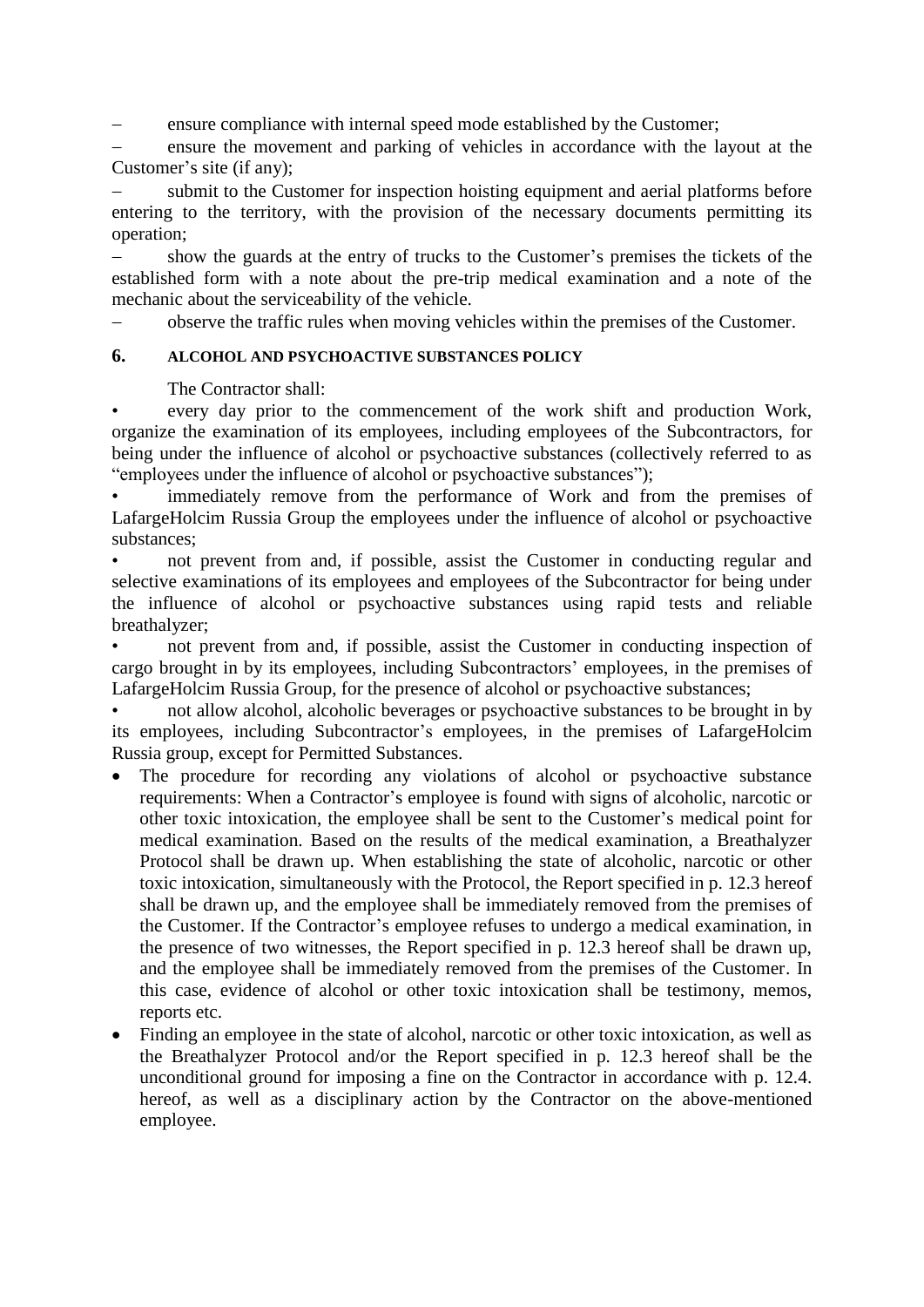ensure compliance with internal speed mode established by the Customer;

 ensure the movement and parking of vehicles in accordance with the layout at the Customer's site (if any);

 submit to the Customer for inspection hoisting equipment and aerial platforms before entering to the territory, with the provision of the necessary documents permitting its operation;

 show the guards at the entry of trucks to the Customer's premises the tickets of the established form with a note about the pre-trip medical examination and a note of the mechanic about the serviceability of the vehicle.

observe the traffic rules when moving vehicles within the premises of the Customer.

# **6. ALCOHOL AND PSYCHOACTIVE SUBSTANCES POLICY**

The Contractor shall:

• every day prior to the commencement of the work shift and production Work, organize the examination of its employees, including employees of the Subcontractors, for being under the influence of alcohol or psychoactive substances (collectively referred to as "employees under the influence of alcohol or psychoactive substances");

immediately remove from the performance of Work and from the premises of LafargeHolcim Russia Group the employees under the influence of alcohol or psychoactive substances;

• not prevent from and, if possible, assist the Customer in conducting regular and selective examinations of its employees and employees of the Subcontractor for being under the influence of alcohol or psychoactive substances using rapid tests and reliable breathalyzer;

• not prevent from and, if possible, assist the Customer in conducting inspection of cargo brought in by its employees, including Subcontractors' employees, in the premises of LafargeHolcim Russia Group, for the presence of alcohol or psychoactive substances;

• not allow alcohol, alcoholic beverages or psychoactive substances to be brought in by its employees, including Subcontractor's employees, in the premises of LafargeHolcim Russia group, except for Permitted Substances.

- The procedure for recording any violations of alcohol or psychoactive substance requirements: When a Contractor's employee is found with signs of alcoholic, narcotic or other toxic intoxication, the employee shall be sent to the Customer's medical point for medical examination. Based on the results of the medical examination, a Breathalyzer Protocol shall be drawn up. When establishing the state of alcoholic, narcotic or other toxic intoxication, simultaneously with the Protocol, the Report specified in p. 12.3 hereof shall be drawn up, and the employee shall be immediately removed from the premises of the Customer. If the Contractor's employee refuses to undergo a medical examination, in the presence of two witnesses, the Report specified in p. 12.3 hereof shall be drawn up, and the employee shall be immediately removed from the premises of the Customer. In this case, evidence of alcohol or other toxic intoxication shall be testimony, memos, reports etc.
- Finding an employee in the state of alcohol, narcotic or other toxic intoxication, as well as the Breathalyzer Protocol and/or the Report specified in p. 12.3 hereof shall be the unconditional ground for imposing a fine on the Contractor in accordance with p. 12.4. hereof, as well as a disciplinary action by the Contractor on the above-mentioned employee.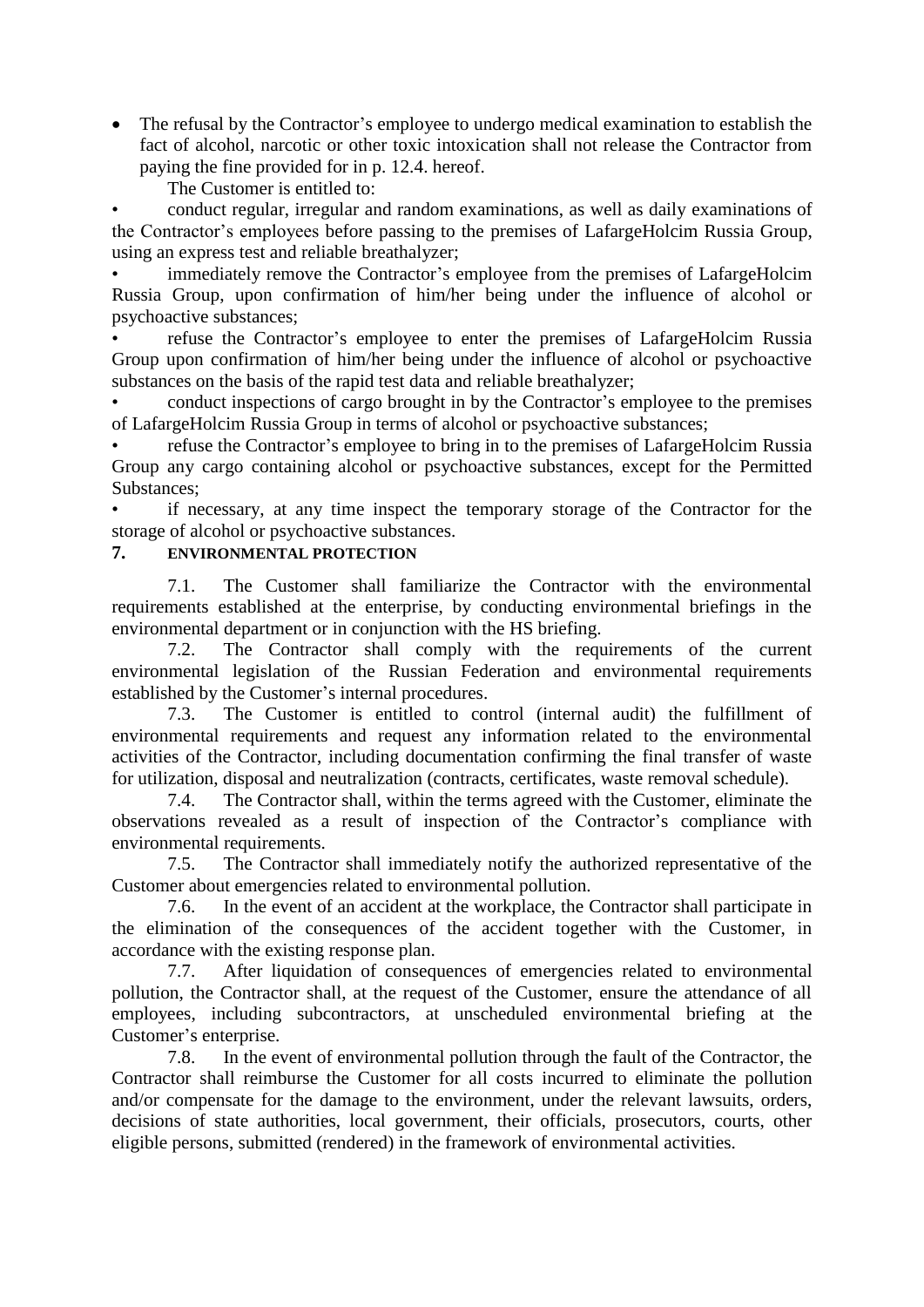• The refusal by the Contractor's employee to undergo medical examination to establish the fact of alcohol, narcotic or other toxic intoxication shall not release the Contractor from paying the fine provided for in p. 12.4. hereof.

The Customer is entitled to:

• conduct regular, irregular and random examinations, as well as daily examinations of the Contractor's employees before passing to the premises of LafargeHolcim Russia Group, using an express test and reliable breathalyzer;

• immediately remove the Contractor's employee from the premises of LafargeHolcim Russia Group, upon confirmation of him/her being under the influence of alcohol or psychoactive substances;

• refuse the Contractor's employee to enter the premises of LafargeHolcim Russia Group upon confirmation of him/her being under the influence of alcohol or psychoactive substances on the basis of the rapid test data and reliable breathalyzer;

• conduct inspections of cargo brought in by the Contractor's employee to the premises of LafargeHolcim Russia Group in terms of alcohol or psychoactive substances;

• refuse the Contractor's employee to bring in to the premises of LafargeHolcim Russia Group any cargo containing alcohol or psychoactive substances, except for the Permitted Substances;

• if necessary, at any time inspect the temporary storage of the Contractor for the storage of alcohol or psychoactive substances.

# **7. ENVIRONMENTAL PROTECTION**

7.1. The Customer shall familiarize the Contractor with the environmental requirements established at the enterprise, by conducting environmental briefings in the environmental department or in conjunction with the HS briefing.

7.2. The Contractor shall comply with the requirements of the current environmental legislation of the Russian Federation and environmental requirements established by the Customer's internal procedures.

7.3. The Customer is entitled to control (internal audit) the fulfillment of environmental requirements and request any information related to the environmental activities of the Contractor, including documentation confirming the final transfer of waste for utilization, disposal and neutralization (contracts, certificates, waste removal schedule).

7.4. The Contractor shall, within the terms agreed with the Customer, eliminate the observations revealed as a result of inspection of the Contractor's compliance with environmental requirements.

7.5. The Contractor shall immediately notify the authorized representative of the Customer about emergencies related to environmental pollution.

7.6. In the event of an accident at the workplace, the Contractor shall participate in the elimination of the consequences of the accident together with the Customer, in accordance with the existing response plan.

7.7. After liquidation of consequences of emergencies related to environmental pollution, the Contractor shall, at the request of the Customer, ensure the attendance of all employees, including subcontractors, at unscheduled environmental briefing at the Customer's enterprise.

7.8. In the event of environmental pollution through the fault of the Contractor, the Contractor shall reimburse the Customer for all costs incurred to eliminate the pollution and/or compensate for the damage to the environment, under the relevant lawsuits, orders, decisions of state authorities, local government, their officials, prosecutors, courts, other eligible persons, submitted (rendered) in the framework of environmental activities.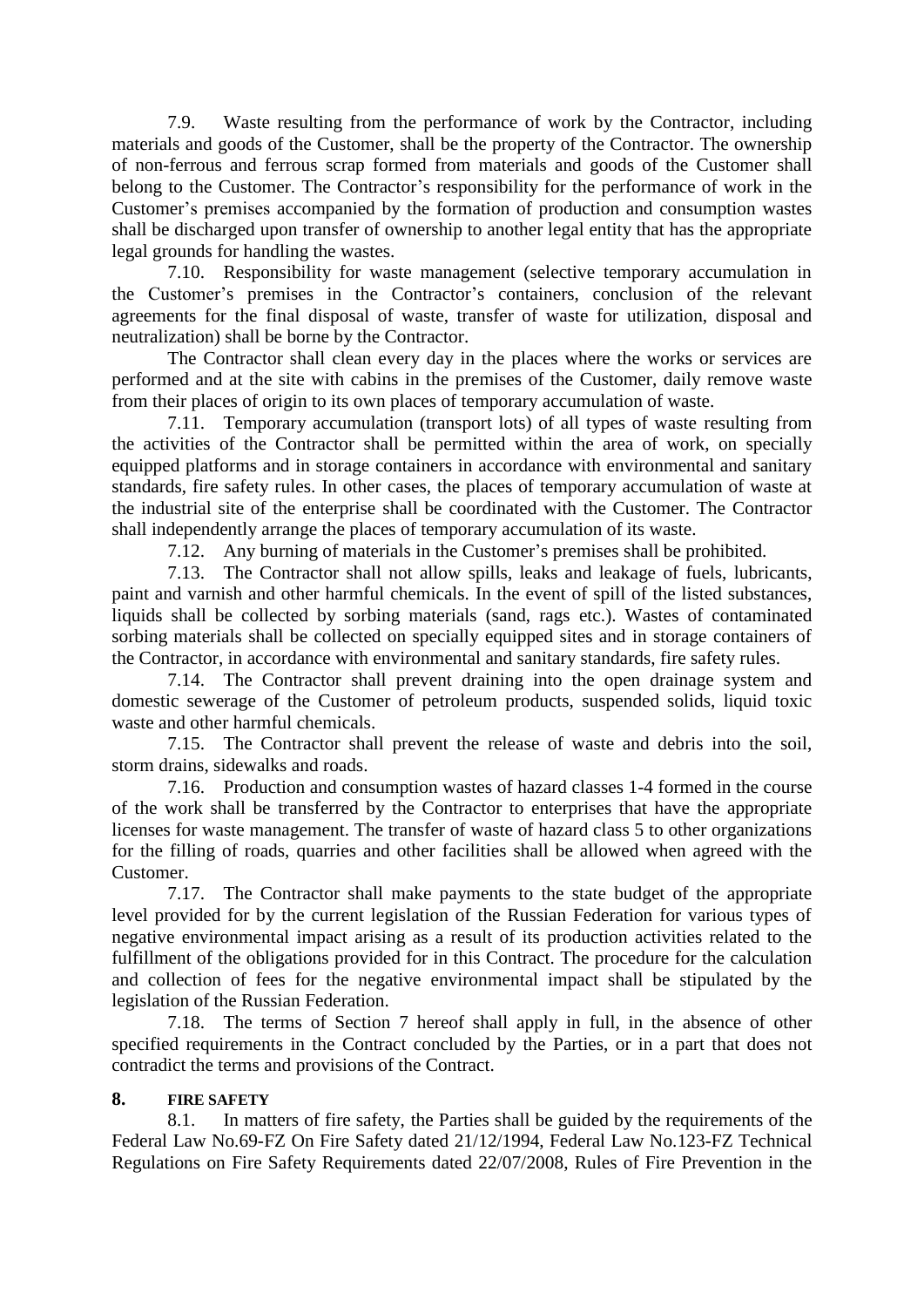7.9. Waste resulting from the performance of work by the Contractor, including materials and goods of the Customer, shall be the property of the Contractor. The ownership of non-ferrous and ferrous scrap formed from materials and goods of the Customer shall belong to the Customer. The Contractor's responsibility for the performance of work in the Customer's premises accompanied by the formation of production and consumption wastes shall be discharged upon transfer of ownership to another legal entity that has the appropriate legal grounds for handling the wastes.

7.10. Responsibility for waste management (selective temporary accumulation in the Customer's premises in the Contractor's containers, conclusion of the relevant agreements for the final disposal of waste, transfer of waste for utilization, disposal and neutralization) shall be borne by the Contractor.

The Contractor shall clean every day in the places where the works or services are performed and at the site with cabins in the premises of the Customer, daily remove waste from their places of origin to its own places of temporary accumulation of waste.

7.11. Temporary accumulation (transport lots) of all types of waste resulting from the activities of the Contractor shall be permitted within the area of work, on specially equipped platforms and in storage containers in accordance with environmental and sanitary standards, fire safety rules. In other cases, the places of temporary accumulation of waste at the industrial site of the enterprise shall be coordinated with the Customer. The Contractor shall independently arrange the places of temporary accumulation of its waste.

7.12. Any burning of materials in the Customer's premises shall be prohibited.

7.13. The Contractor shall not allow spills, leaks and leakage of fuels, lubricants, paint and varnish and other harmful chemicals. In the event of spill of the listed substances, liquids shall be collected by sorbing materials (sand, rags etc.). Wastes of contaminated sorbing materials shall be collected on specially equipped sites and in storage containers of the Contractor, in accordance with environmental and sanitary standards, fire safety rules.

7.14. The Contractor shall prevent draining into the open drainage system and domestic sewerage of the Customer of petroleum products, suspended solids, liquid toxic waste and other harmful chemicals.

7.15. The Contractor shall prevent the release of waste and debris into the soil, storm drains, sidewalks and roads.

7.16. Production and consumption wastes of hazard classes 1-4 formed in the course of the work shall be transferred by the Contractor to enterprises that have the appropriate licenses for waste management. The transfer of waste of hazard class 5 to other organizations for the filling of roads, quarries and other facilities shall be allowed when agreed with the Customer.

7.17. The Contractor shall make payments to the state budget of the appropriate level provided for by the current legislation of the Russian Federation for various types of negative environmental impact arising as a result of its production activities related to the fulfillment of the obligations provided for in this Contract. The procedure for the calculation and collection of fees for the negative environmental impact shall be stipulated by the legislation of the Russian Federation.

7.18. The terms of Section 7 hereof shall apply in full, in the absence of other specified requirements in the Contract concluded by the Parties, or in a part that does not contradict the terms and provisions of the Contract.

## **8. FIRE SAFETY**

8.1. In matters of fire safety, the Parties shall be guided by the requirements of the Federal Law No.69-FZ On Fire Safety dated 21/12/1994, Federal Law No.123-FZ Technical Regulations on Fire Safety Requirements dated 22/07/2008, Rules of Fire Prevention in the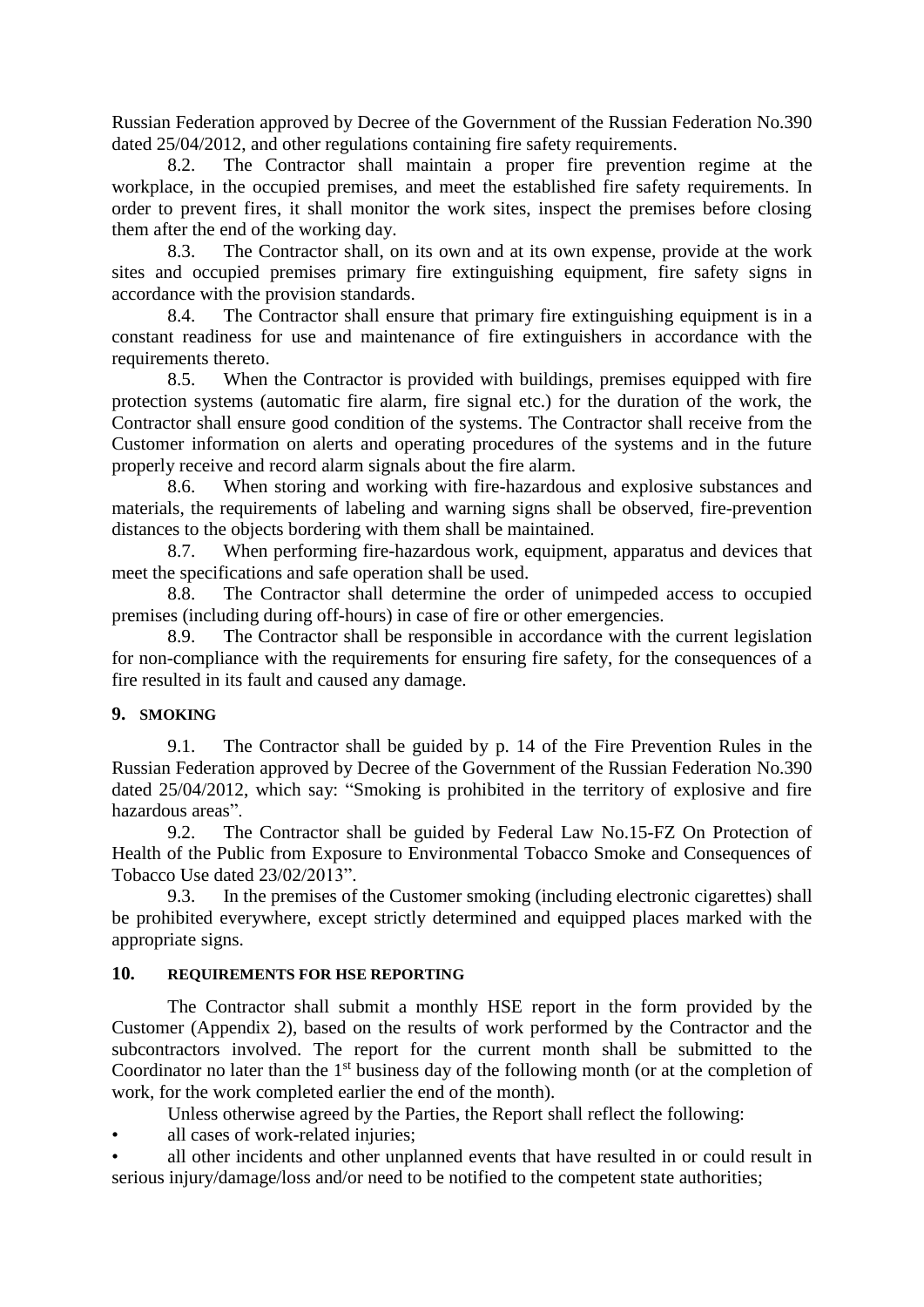Russian Federation approved by Decree of the Government of the Russian Federation No.390 dated 25/04/2012, and other regulations containing fire safety requirements.

8.2. The Contractor shall maintain a proper fire prevention regime at the workplace, in the occupied premises, and meet the established fire safety requirements. In order to prevent fires, it shall monitor the work sites, inspect the premises before closing them after the end of the working day.

8.3. The Contractor shall, on its own and at its own expense, provide at the work sites and occupied premises primary fire extinguishing equipment, fire safety signs in accordance with the provision standards.

8.4. The Contractor shall ensure that primary fire extinguishing equipment is in a constant readiness for use and maintenance of fire extinguishers in accordance with the requirements thereto.

8.5. When the Contractor is provided with buildings, premises equipped with fire protection systems (automatic fire alarm, fire signal etc.) for the duration of the work, the Contractor shall ensure good condition of the systems. The Contractor shall receive from the Customer information on alerts and operating procedures of the systems and in the future properly receive and record alarm signals about the fire alarm.

8.6. When storing and working with fire-hazardous and explosive substances and materials, the requirements of labeling and warning signs shall be observed, fire-prevention distances to the objects bordering with them shall be maintained.

8.7. When performing fire-hazardous work, equipment, apparatus and devices that meet the specifications and safe operation shall be used.

8.8. The Contractor shall determine the order of unimpeded access to occupied premises (including during off-hours) in case of fire or other emergencies.

8.9. The Contractor shall be responsible in accordance with the current legislation for non-compliance with the requirements for ensuring fire safety, for the consequences of a fire resulted in its fault and caused any damage.

## **9. SMOKING**

9.1. The Contractor shall be guided by p. 14 of the Fire Prevention Rules in the Russian Federation approved by Decree of the Government of the Russian Federation No.390 dated 25/04/2012, which say: "Smoking is prohibited in the territory of explosive and fire hazardous areas".

9.2. The Contractor shall be guided by Federal Law No.15-FZ On Protection of Health of the Public from Exposure to Environmental Tobacco Smoke and Consequences of Tobacco Use dated 23/02/2013".

9.3. In the premises of the Customer smoking (including electronic cigarettes) shall be prohibited everywhere, except strictly determined and equipped places marked with the appropriate signs.

## **10. REQUIREMENTS FOR HSE REPORTING**

The Contractor shall submit a monthly HSE report in the form provided by the Customer (Appendix 2), based on the results of work performed by the Contractor and the subcontractors involved. The report for the current month shall be submitted to the Coordinator no later than the  $1<sup>st</sup>$  business day of the following month (or at the completion of work, for the work completed earlier the end of the month).

Unless otherwise agreed by the Parties, the Report shall reflect the following:

all cases of work-related injuries;

• all other incidents and other unplanned events that have resulted in or could result in serious injury/damage/loss and/or need to be notified to the competent state authorities;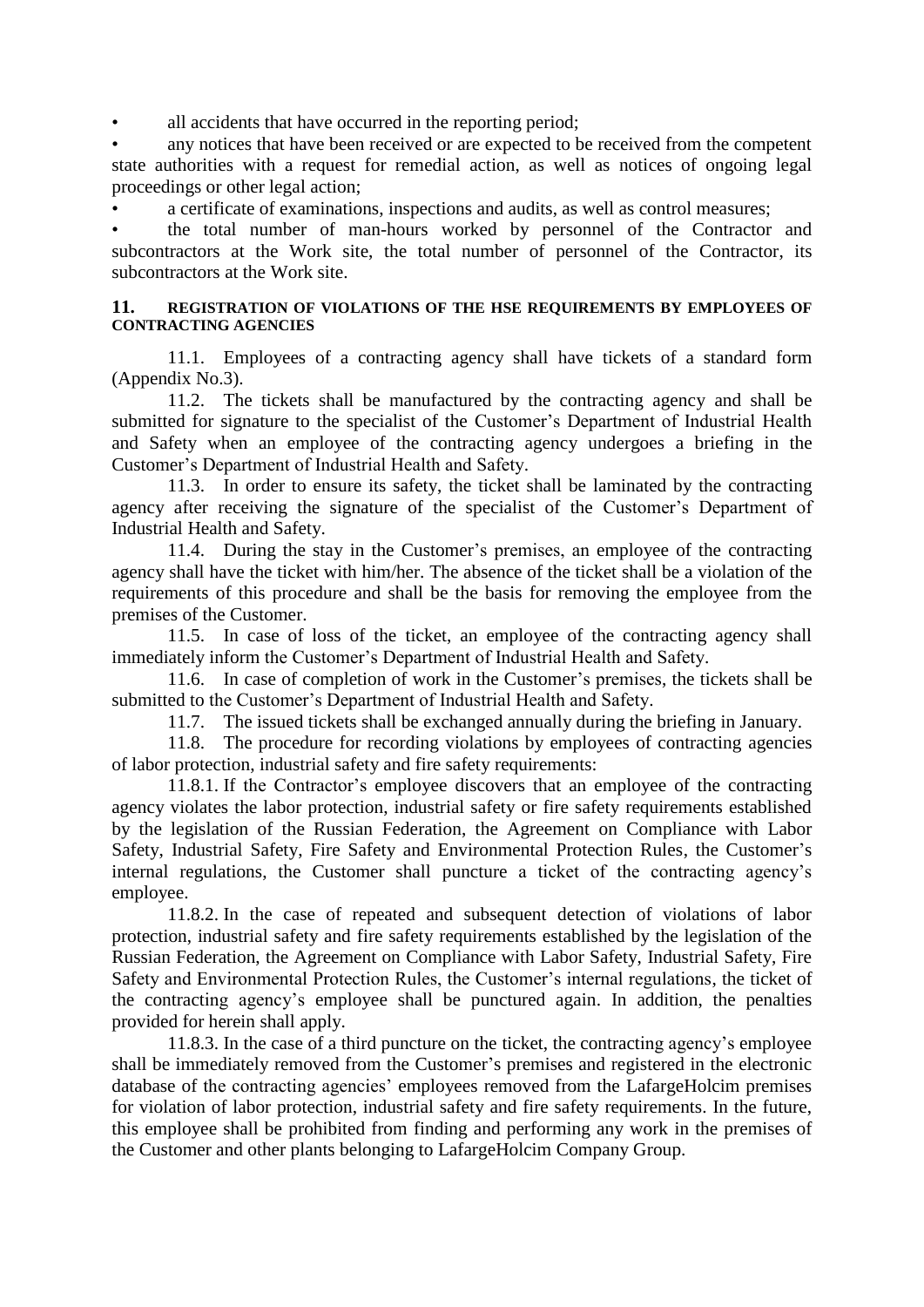all accidents that have occurred in the reporting period;

• any notices that have been received or are expected to be received from the competent state authorities with a request for remedial action, as well as notices of ongoing legal proceedings or other legal action;

• a certificate of examinations, inspections and audits, as well as control measures;

• the total number of man-hours worked by personnel of the Contractor and subcontractors at the Work site, the total number of personnel of the Contractor, its subcontractors at the Work site.

#### **11. REGISTRATION OF VIOLATIONS OF THE HSE REQUIREMENTS BY EMPLOYEES OF CONTRACTING AGENCIES**

11.1. Employees of a contracting agency shall have tickets of a standard form (Appendix No.3).

11.2. The tickets shall be manufactured by the contracting agency and shall be submitted for signature to the specialist of the Customer's Department of Industrial Health and Safety when an employee of the contracting agency undergoes a briefing in the Customer's Department of Industrial Health and Safety.

11.3. In order to ensure its safety, the ticket shall be laminated by the contracting agency after receiving the signature of the specialist of the Customer's Department of Industrial Health and Safety.

11.4. During the stay in the Customer's premises, an employee of the contracting agency shall have the ticket with him/her. The absence of the ticket shall be a violation of the requirements of this procedure and shall be the basis for removing the employee from the premises of the Customer.

11.5. In case of loss of the ticket, an employee of the contracting agency shall immediately inform the Customer's Department of Industrial Health and Safety.

11.6. In case of completion of work in the Customer's premises, the tickets shall be submitted to the Customer's Department of Industrial Health and Safety.

11.7. The issued tickets shall be exchanged annually during the briefing in January.

11.8. The procedure for recording violations by employees of contracting agencies of labor protection, industrial safety and fire safety requirements:

11.8.1. If the Contractor's employee discovers that an employee of the contracting agency violates the labor protection, industrial safety or fire safety requirements established by the legislation of the Russian Federation, the Agreement on Compliance with Labor Safety, Industrial Safety, Fire Safety and Environmental Protection Rules, the Customer's internal regulations, the Customer shall puncture a ticket of the contracting agency's employee.

11.8.2. In the case of repeated and subsequent detection of violations of labor protection, industrial safety and fire safety requirements established by the legislation of the Russian Federation, the Agreement on Compliance with Labor Safety, Industrial Safety, Fire Safety and Environmental Protection Rules, the Customer's internal regulations, the ticket of the contracting agency's employee shall be punctured again. In addition, the penalties provided for herein shall apply.

11.8.3. In the case of a third puncture on the ticket, the contracting agency's employee shall be immediately removed from the Customer's premises and registered in the electronic database of the contracting agencies' employees removed from the LafargeHolcim premises for violation of labor protection, industrial safety and fire safety requirements. In the future, this employee shall be prohibited from finding and performing any work in the premises of the Customer and other plants belonging to LafargeHolcim Company Group.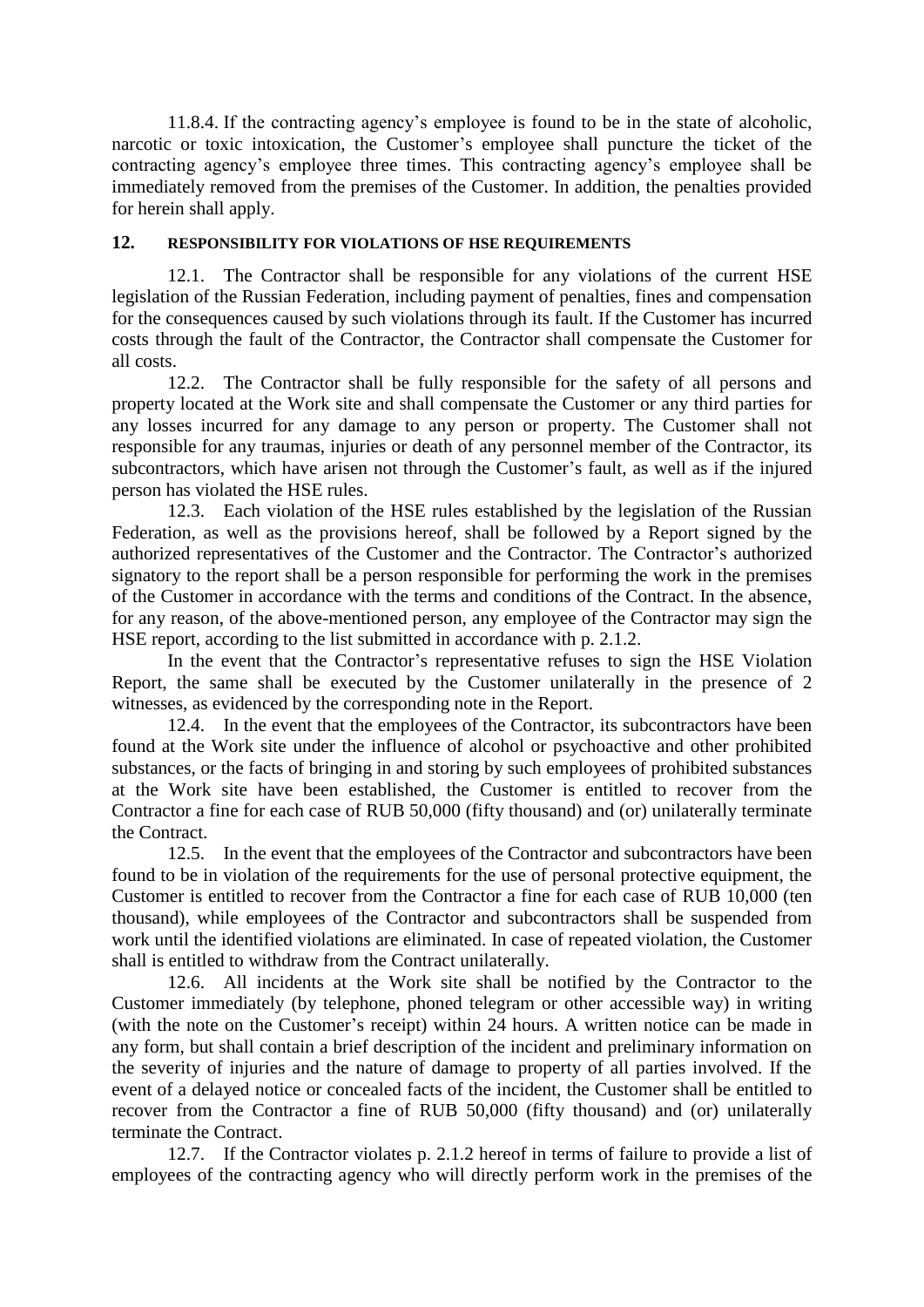11.8.4. If the contracting agency's employee is found to be in the state of alcoholic, narcotic or toxic intoxication, the Customer's employee shall puncture the ticket of the contracting agency's employee three times. This contracting agency's employee shall be immediately removed from the premises of the Customer. In addition, the penalties provided for herein shall apply.

## **12. RESPONSIBILITY FOR VIOLATIONS OF HSE REQUIREMENTS**

12.1. The Contractor shall be responsible for any violations of the current HSE legislation of the Russian Federation, including payment of penalties, fines and compensation for the consequences caused by such violations through its fault. If the Customer has incurred costs through the fault of the Contractor, the Contractor shall compensate the Customer for all costs.

12.2. The Contractor shall be fully responsible for the safety of all persons and property located at the Work site and shall compensate the Customer or any third parties for any losses incurred for any damage to any person or property. The Customer shall not responsible for any traumas, injuries or death of any personnel member of the Contractor, its subcontractors, which have arisen not through the Customer's fault, as well as if the injured person has violated the HSE rules.

12.3. Each violation of the HSE rules established by the legislation of the Russian Federation, as well as the provisions hereof, shall be followed by a Report signed by the authorized representatives of the Customer and the Contractor. The Contractor's authorized signatory to the report shall be a person responsible for performing the work in the premises of the Customer in accordance with the terms and conditions of the Contract. In the absence, for any reason, of the above-mentioned person, any employee of the Contractor may sign the HSE report, according to the list submitted in accordance with p. 2.1.2.

In the event that the Contractor's representative refuses to sign the HSE Violation Report, the same shall be executed by the Customer unilaterally in the presence of 2 witnesses, as evidenced by the corresponding note in the Report.

12.4. In the event that the employees of the Contractor, its subcontractors have been found at the Work site under the influence of alcohol or psychoactive and other prohibited substances, or the facts of bringing in and storing by such employees of prohibited substances at the Work site have been established, the Customer is entitled to recover from the Contractor a fine for each case of RUB 50,000 (fifty thousand) and (or) unilaterally terminate the Contract.

12.5. In the event that the employees of the Contractor and subcontractors have been found to be in violation of the requirements for the use of personal protective equipment, the Customer is entitled to recover from the Contractor a fine for each case of RUB 10,000 (ten thousand), while employees of the Contractor and subcontractors shall be suspended from work until the identified violations are eliminated. In case of repeated violation, the Customer shall is entitled to withdraw from the Contract unilaterally.

12.6. All incidents at the Work site shall be notified by the Contractor to the Customer immediately (by telephone, phoned telegram or other accessible way) in writing (with the note on the Customer's receipt) within 24 hours. A written notice can be made in any form, but shall contain a brief description of the incident and preliminary information on the severity of injuries and the nature of damage to property of all parties involved. If the event of a delayed notice or concealed facts of the incident, the Customer shall be entitled to recover from the Contractor a fine of RUB 50,000 (fifty thousand) and (or) unilaterally terminate the Contract.

12.7. If the Contractor violates p. 2.1.2 hereof in terms of failure to provide a list of employees of the contracting agency who will directly perform work in the premises of the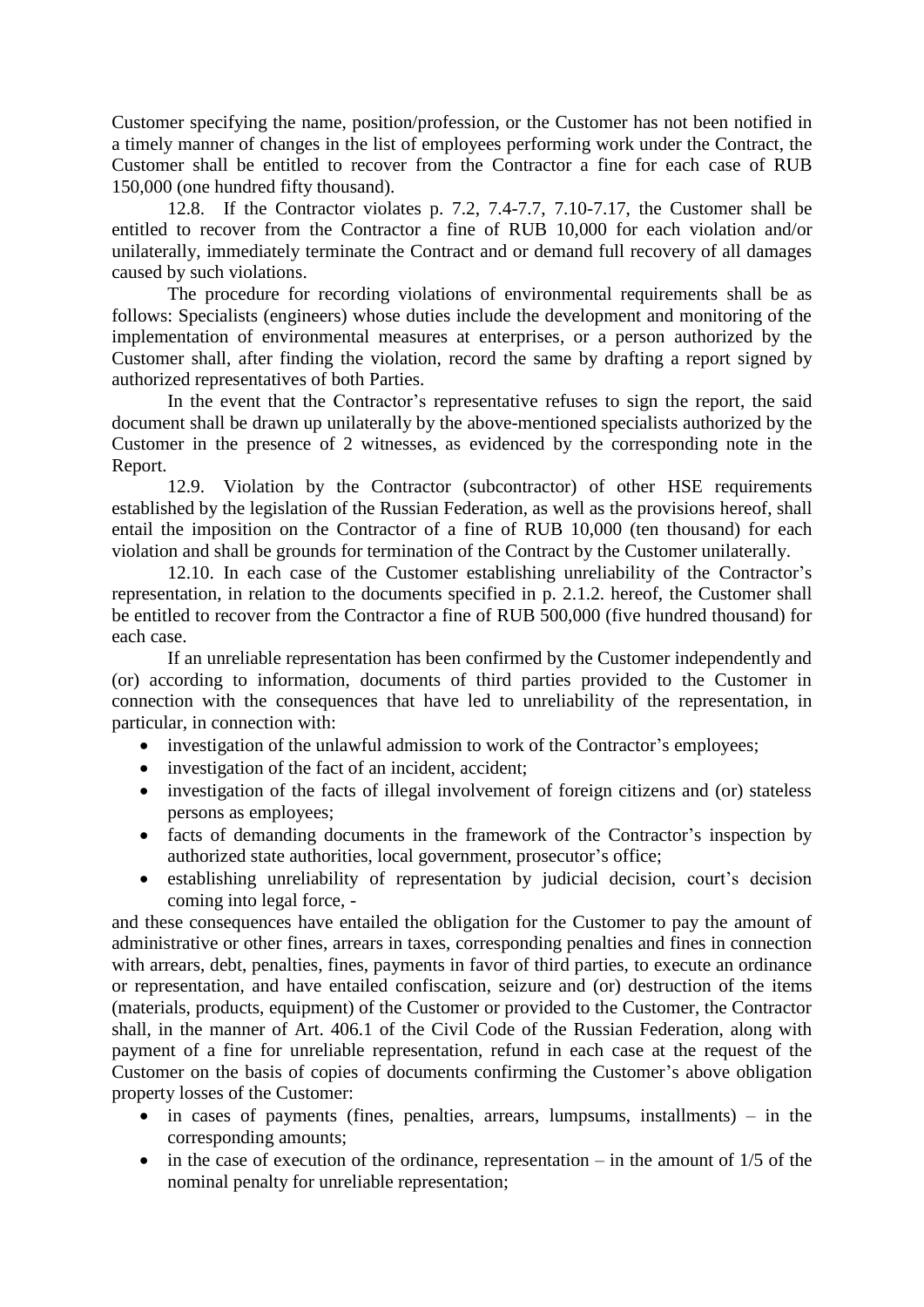Customer specifying the name, position/profession, or the Customer has not been notified in a timely manner of changes in the list of employees performing work under the Contract, the Customer shall be entitled to recover from the Contractor a fine for each case of RUB 150,000 (one hundred fifty thousand).

12.8. If the Contractor violates p. 7.2, 7.4-7.7, 7.10-7.17, the Customer shall be entitled to recover from the Contractor a fine of RUB 10,000 for each violation and/or unilaterally, immediately terminate the Contract and or demand full recovery of all damages caused by such violations.

The procedure for recording violations of environmental requirements shall be as follows: Specialists (engineers) whose duties include the development and monitoring of the implementation of environmental measures at enterprises, or a person authorized by the Customer shall, after finding the violation, record the same by drafting a report signed by authorized representatives of both Parties.

In the event that the Contractor's representative refuses to sign the report, the said document shall be drawn up unilaterally by the above-mentioned specialists authorized by the Customer in the presence of 2 witnesses, as evidenced by the corresponding note in the Report.

12.9. Violation by the Contractor (subcontractor) of other HSE requirements established by the legislation of the Russian Federation, as well as the provisions hereof, shall entail the imposition on the Contractor of a fine of RUB 10,000 (ten thousand) for each violation and shall be grounds for termination of the Contract by the Customer unilaterally.

12.10. In each case of the Customer establishing unreliability of the Contractor's representation, in relation to the documents specified in p. 2.1.2. hereof, the Customer shall be entitled to recover from the Contractor a fine of RUB 500,000 (five hundred thousand) for each case.

If an unreliable representation has been confirmed by the Customer independently and (or) according to information, documents of third parties provided to the Customer in connection with the consequences that have led to unreliability of the representation, in particular, in connection with:

- investigation of the unlawful admission to work of the Contractor's employees;
- investigation of the fact of an incident, accident;
- investigation of the facts of illegal involvement of foreign citizens and (or) stateless persons as employees;
- facts of demanding documents in the framework of the Contractor's inspection by authorized state authorities, local government, prosecutor's office;
- establishing unreliability of representation by judicial decision, court's decision coming into legal force, -

and these consequences have entailed the obligation for the Customer to pay the amount of administrative or other fines, arrears in taxes, corresponding penalties and fines in connection with arrears, debt, penalties, fines, payments in favor of third parties, to execute an ordinance or representation, and have entailed confiscation, seizure and (or) destruction of the items (materials, products, equipment) of the Customer or provided to the Customer, the Contractor shall, in the manner of Art. 406.1 of the Civil Code of the Russian Federation, along with payment of a fine for unreliable representation, refund in each case at the request of the Customer on the basis of copies of documents confirming the Customer's above obligation property losses of the Customer:

- $\bullet$  in cases of payments (fines, penalties, arrears, lumpsums, installments) in the corresponding amounts;
- $\bullet$  in the case of execution of the ordinance, representation in the amount of 1/5 of the nominal penalty for unreliable representation;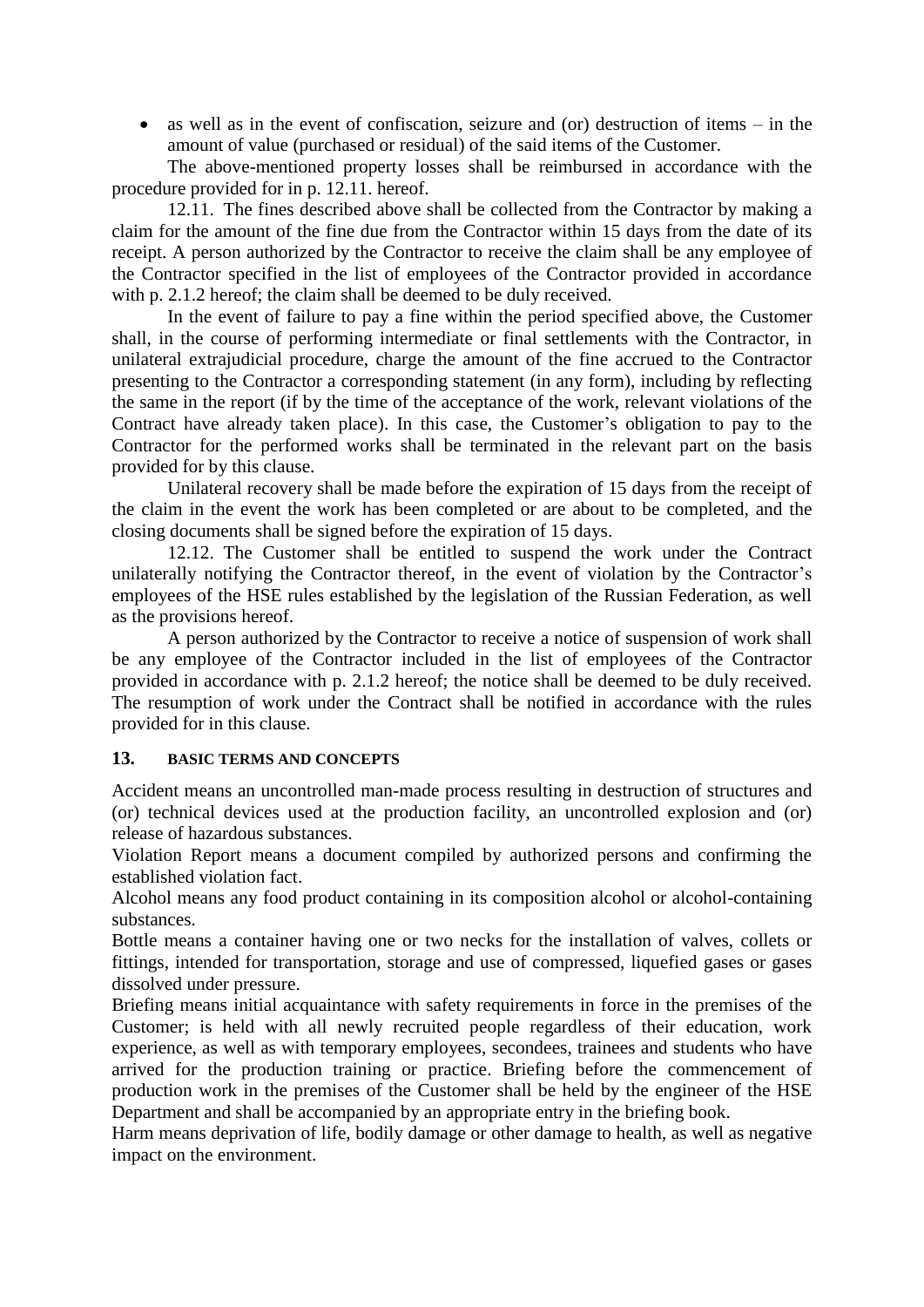$\bullet$  as well as in the event of confiscation, seizure and (or) destruction of items – in the amount of value (purchased or residual) of the said items of the Customer.

The above-mentioned property losses shall be reimbursed in accordance with the procedure provided for in p. 12.11. hereof.

12.11. The fines described above shall be collected from the Contractor by making a claim for the amount of the fine due from the Contractor within 15 days from the date of its receipt. A person authorized by the Contractor to receive the claim shall be any employee of the Contractor specified in the list of employees of the Contractor provided in accordance with p. 2.1.2 hereof; the claim shall be deemed to be duly received.

In the event of failure to pay a fine within the period specified above, the Customer shall, in the course of performing intermediate or final settlements with the Contractor, in unilateral extrajudicial procedure, charge the amount of the fine accrued to the Contractor presenting to the Contractor a corresponding statement (in any form), including by reflecting the same in the report (if by the time of the acceptance of the work, relevant violations of the Contract have already taken place). In this case, the Customer's obligation to pay to the Contractor for the performed works shall be terminated in the relevant part on the basis provided for by this clause.

Unilateral recovery shall be made before the expiration of 15 days from the receipt of the claim in the event the work has been completed or are about to be completed, and the closing documents shall be signed before the expiration of 15 days.

12.12. The Customer shall be entitled to suspend the work under the Contract unilaterally notifying the Contractor thereof, in the event of violation by the Contractor's employees of the HSE rules established by the legislation of the Russian Federation, as well as the provisions hereof.

A person authorized by the Contractor to receive a notice of suspension of work shall be any employee of the Contractor included in the list of employees of the Contractor provided in accordance with p. 2.1.2 hereof; the notice shall be deemed to be duly received. The resumption of work under the Contract shall be notified in accordance with the rules provided for in this clause.

#### **13. BASIC TERMS AND CONCEPTS**

Accident means an uncontrolled man-made process resulting in destruction of structures and (or) technical devices used at the production facility, an uncontrolled explosion and (or) release of hazardous substances.

Violation Report means a document compiled by authorized persons and confirming the established violation fact.

Alcohol means any food product containing in its composition alcohol or alcohol-containing substances.

Bottle means a container having one or two necks for the installation of valves, collets or fittings, intended for transportation, storage and use of compressed, liquefied gases or gases dissolved under pressure.

Briefing means initial acquaintance with safety requirements in force in the premises of the Customer; is held with all newly recruited people regardless of their education, work experience, as well as with temporary employees, secondees, trainees and students who have arrived for the production training or practice. Briefing before the commencement of production work in the premises of the Customer shall be held by the engineer of the HSE Department and shall be accompanied by an appropriate entry in the briefing book.

Harm means deprivation of life, bodily damage or other damage to health, as well as negative impact on the environment.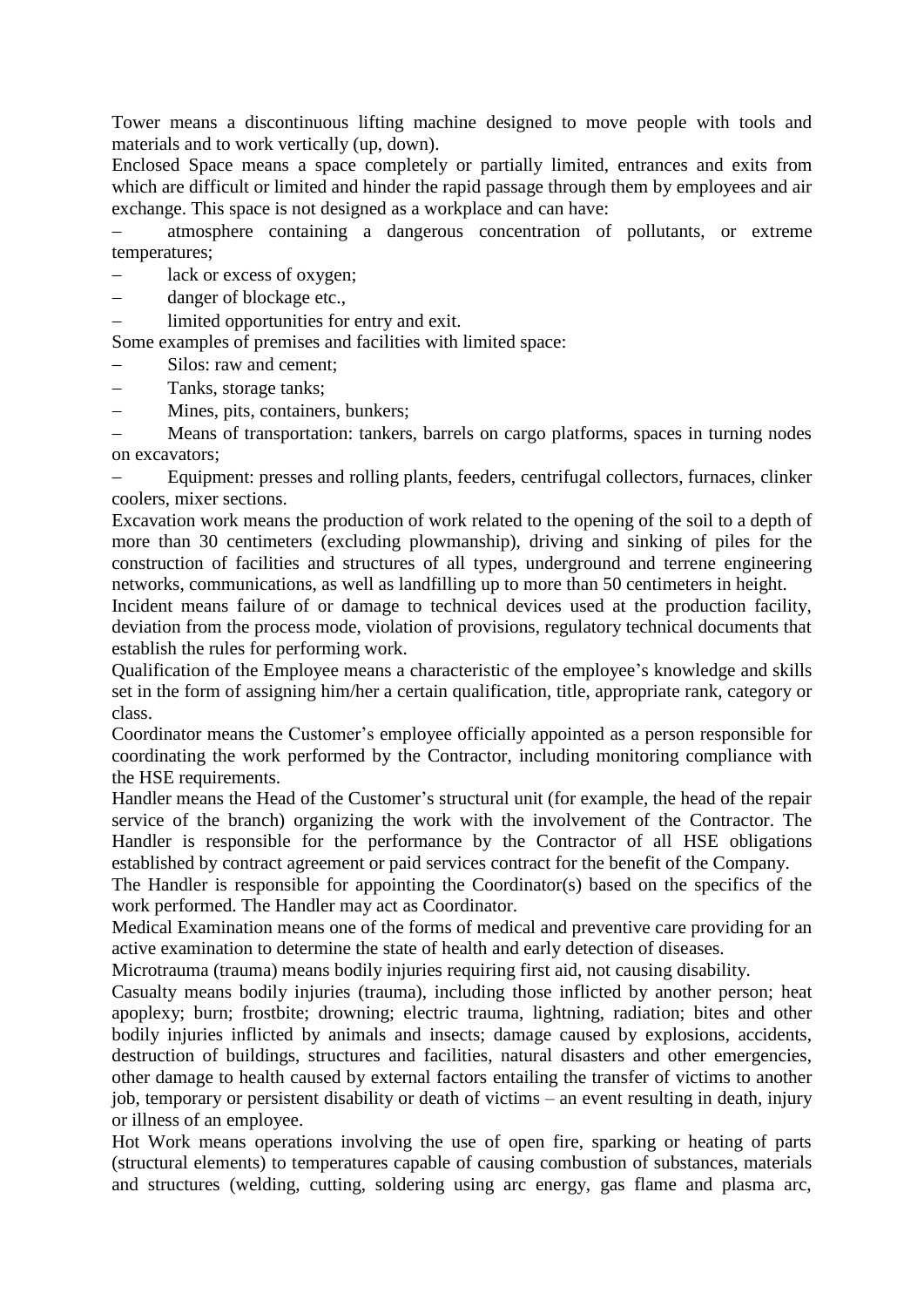Tower means a discontinuous lifting machine designed to move people with tools and materials and to work vertically (up, down).

Enclosed Space means a space completely or partially limited, entrances and exits from which are difficult or limited and hinder the rapid passage through them by employees and air exchange. This space is not designed as a workplace and can have:

 atmosphere containing a dangerous concentration of pollutants, or extreme temperatures;

- lack or excess of oxygen;
- danger of blockage etc.,
- limited opportunities for entry and exit.

Some examples of premises and facilities with limited space:

- Silos: raw and cement;
- Tanks, storage tanks;
- Mines, pits, containers, bunkers;

 Means of transportation: tankers, barrels on cargo platforms, spaces in turning nodes on excavators;

 Equipment: presses and rolling plants, feeders, centrifugal collectors, furnaces, clinker coolers, mixer sections.

Excavation work means the production of work related to the opening of the soil to a depth of more than 30 centimeters (excluding plowmanship), driving and sinking of piles for the construction of facilities and structures of all types, underground and terrene engineering networks, communications, as well as landfilling up to more than 50 centimeters in height.

Incident means failure of or damage to technical devices used at the production facility, deviation from the process mode, violation of provisions, regulatory technical documents that establish the rules for performing work.

Qualification of the Employee means a characteristic of the employee's knowledge and skills set in the form of assigning him/her a certain qualification, title, appropriate rank, category or class.

Coordinator means the Customer's employee officially appointed as a person responsible for coordinating the work performed by the Contractor, including monitoring compliance with the HSE requirements.

Handler means the Head of the Customer's structural unit (for example, the head of the repair service of the branch) organizing the work with the involvement of the Contractor. The Handler is responsible for the performance by the Contractor of all HSE obligations established by contract agreement or paid services contract for the benefit of the Company.

The Handler is responsible for appointing the Coordinator(s) based on the specifics of the work performed. The Handler may act as Coordinator.

Medical Examination means one of the forms of medical and preventive care providing for an active examination to determine the state of health and early detection of diseases.

Microtrauma (trauma) means bodily injuries requiring first aid, not causing disability.

Casualty means bodily injuries (trauma), including those inflicted by another person; heat apoplexy; burn; frostbite; drowning; electric trauma, lightning, radiation; bites and other bodily injuries inflicted by animals and insects; damage caused by explosions, accidents, destruction of buildings, structures and facilities, natural disasters and other emergencies, other damage to health caused by external factors entailing the transfer of victims to another job, temporary or persistent disability or death of victims – an event resulting in death, injury or illness of an employee.

Hot Work means operations involving the use of open fire, sparking or heating of parts (structural elements) to temperatures capable of causing combustion of substances, materials and structures (welding, cutting, soldering using arc energy, gas flame and plasma arc,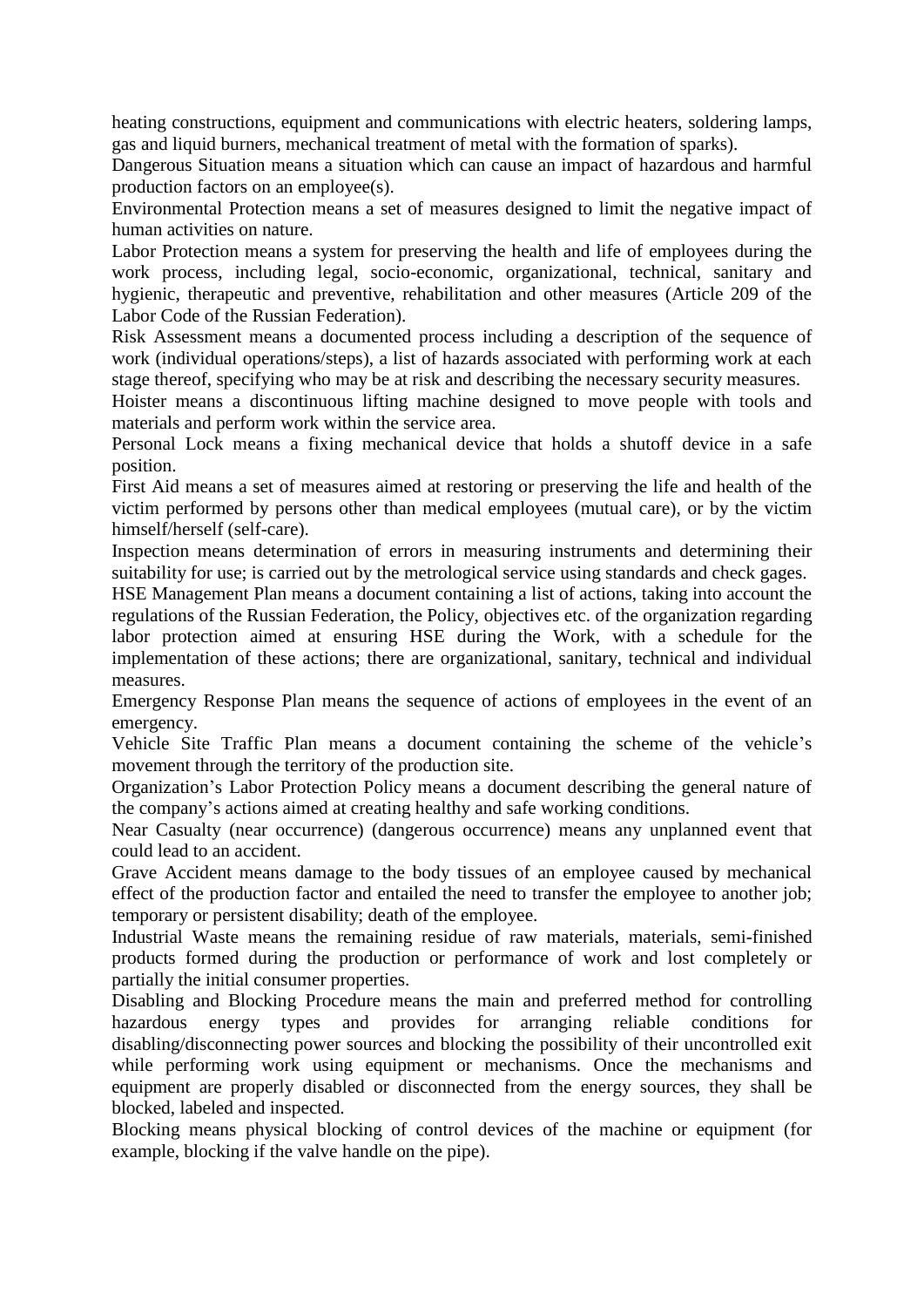heating constructions, equipment and communications with electric heaters, soldering lamps, gas and liquid burners, mechanical treatment of metal with the formation of sparks).

Dangerous Situation means a situation which can cause an impact of hazardous and harmful production factors on an employee(s).

Environmental Protection means a set of measures designed to limit the negative impact of human activities on nature.

Labor Protection means a system for preserving the health and life of employees during the work process, including legal, socio-economic, organizational, technical, sanitary and hygienic, therapeutic and preventive, rehabilitation and other measures (Article 209 of the Labor Code of the Russian Federation).

Risk Assessment means a documented process including a description of the sequence of work (individual operations/steps), a list of hazards associated with performing work at each stage thereof, specifying who may be at risk and describing the necessary security measures.

Hoister means a discontinuous lifting machine designed to move people with tools and materials and perform work within the service area.

Personal Lock means a fixing mechanical device that holds a shutoff device in a safe position.

First Aid means a set of measures aimed at restoring or preserving the life and health of the victim performed by persons other than medical employees (mutual care), or by the victim himself/herself (self-care).

Inspection means determination of errors in measuring instruments and determining their suitability for use; is carried out by the metrological service using standards and check gages.

HSE Management Plan means a document containing a list of actions, taking into account the regulations of the Russian Federation, the Policy, objectives etc. of the organization regarding labor protection aimed at ensuring HSE during the Work, with a schedule for the implementation of these actions; there are organizational, sanitary, technical and individual measures.

Emergency Response Plan means the sequence of actions of employees in the event of an emergency.

Vehicle Site Traffic Plan means a document containing the scheme of the vehicle's movement through the territory of the production site.

Organization's Labor Protection Policy means a document describing the general nature of the company's actions aimed at creating healthy and safe working conditions.

Near Casualty (near occurrence) (dangerous occurrence) means any unplanned event that could lead to an accident.

Grave Accident means damage to the body tissues of an employee caused by mechanical effect of the production factor and entailed the need to transfer the employee to another job; temporary or persistent disability; death of the employee.

Industrial Waste means the remaining residue of raw materials, materials, semi-finished products formed during the production or performance of work and lost completely or partially the initial consumer properties.

Disabling and Blocking Procedure means the main and preferred method for controlling hazardous energy types and provides for arranging reliable conditions for disabling/disconnecting power sources and blocking the possibility of their uncontrolled exit while performing work using equipment or mechanisms. Once the mechanisms and equipment are properly disabled or disconnected from the energy sources, they shall be blocked, labeled and inspected.

Blocking means physical blocking of control devices of the machine or equipment (for example, blocking if the valve handle on the pipe).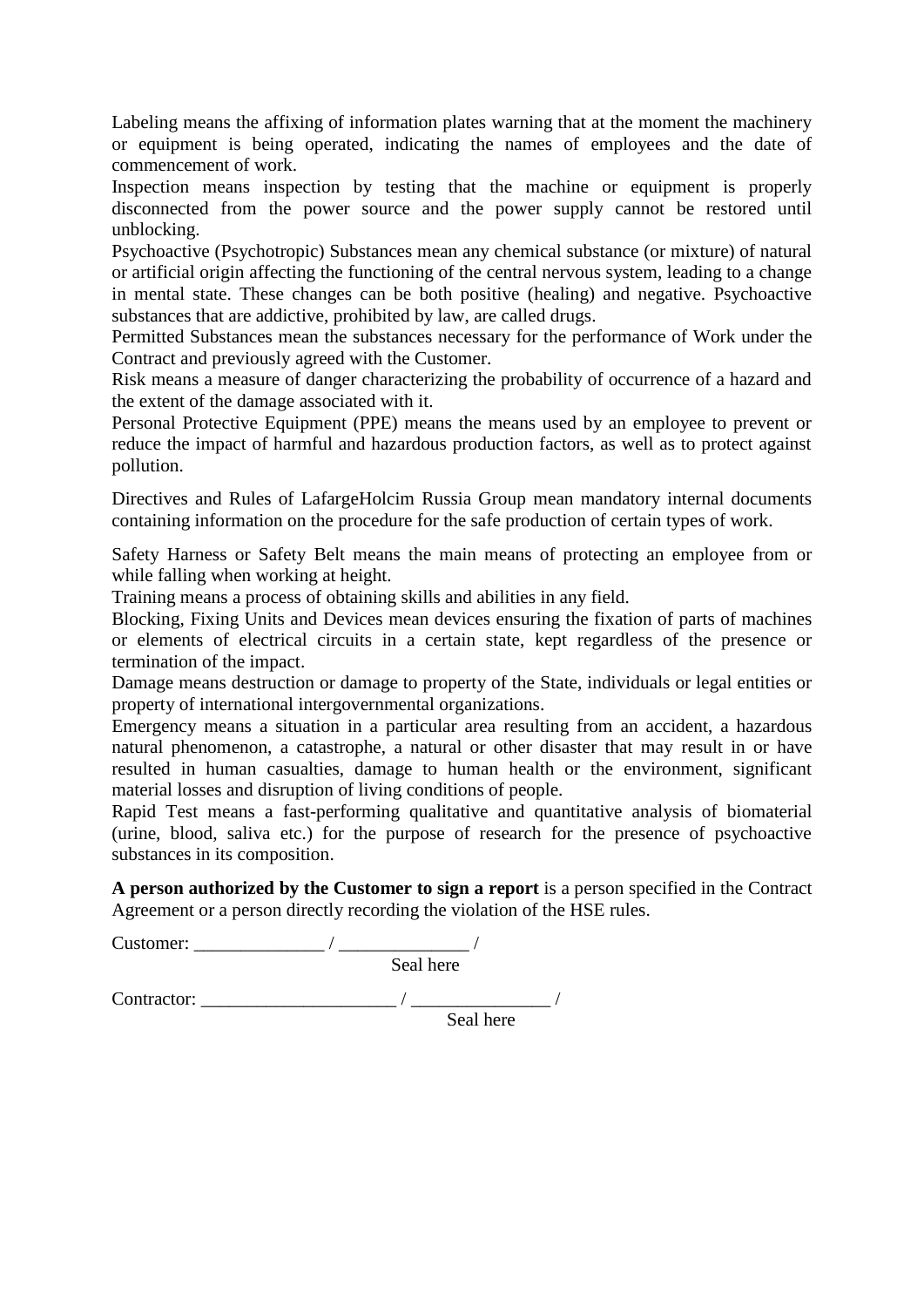Labeling means the affixing of information plates warning that at the moment the machinery or equipment is being operated, indicating the names of employees and the date of commencement of work.

Inspection means inspection by testing that the machine or equipment is properly disconnected from the power source and the power supply cannot be restored until unblocking.

Psychoactive (Psychotropic) Substances mean any chemical substance (or mixture) of natural or artificial origin affecting the functioning of the central nervous system, leading to a change in mental state. These changes can be both positive (healing) and negative. Psychoactive substances that are addictive, prohibited by law, are called drugs.

Permitted Substances mean the substances necessary for the performance of Work under the Contract and previously agreed with the Customer.

Risk means a measure of danger characterizing the probability of occurrence of a hazard and the extent of the damage associated with it.

Personal Protective Equipment (PPE) means the means used by an employee to prevent or reduce the impact of harmful and hazardous production factors, as well as to protect against pollution.

Directives and Rules of LafargeHolcim Russia Group mean mandatory internal documents containing information on the procedure for the safe production of certain types of work.

Safety Harness or Safety Belt means the main means of protecting an employee from or while falling when working at height.

Training means a process of obtaining skills and abilities in any field.

Blocking, Fixing Units and Devices mean devices ensuring the fixation of parts of machines or elements of electrical circuits in a certain state, kept regardless of the presence or termination of the impact.

Damage means destruction or damage to property of the State, individuals or legal entities or property of international intergovernmental organizations.

Emergency means a situation in a particular area resulting from an accident, a hazardous natural phenomenon, a catastrophe, a natural or other disaster that may result in or have resulted in human casualties, damage to human health or the environment, significant material losses and disruption of living conditions of people.

Rapid Test means a fast-performing qualitative and quantitative analysis of biomaterial (urine, blood, saliva etc.) for the purpose of research for the presence of psychoactive substances in its composition.

**A person authorized by the Customer to sign a report** is a person specified in the Contract Agreement or a person directly recording the violation of the HSE rules.

Customer: \_\_\_\_\_\_\_\_\_\_\_\_\_\_ / \_\_\_\_\_\_\_\_\_\_\_\_\_\_ / Seal here Contractor: \_\_\_\_\_\_\_\_\_\_\_\_\_\_\_\_\_\_\_\_\_ / \_\_\_\_\_\_\_\_\_\_\_\_\_\_\_ / Seal here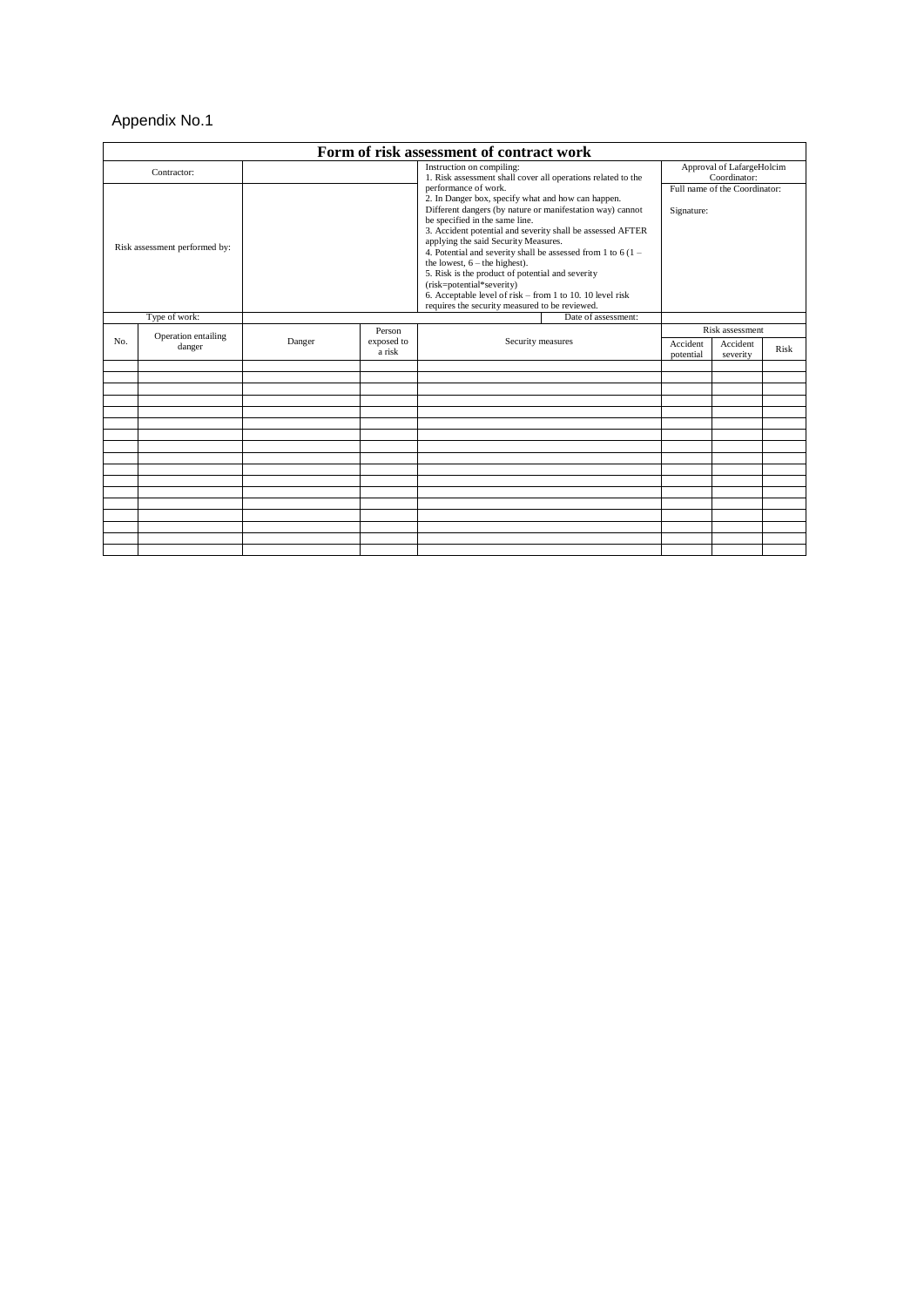# Appendix No.1

| Form of risk assessment of contract work |                               |                                             |                                                                                                                                                                                                                                                                                                                                                                                                                                                                                                                                                                                                                                                                                  |                   |                                           |                      |      |  |
|------------------------------------------|-------------------------------|---------------------------------------------|----------------------------------------------------------------------------------------------------------------------------------------------------------------------------------------------------------------------------------------------------------------------------------------------------------------------------------------------------------------------------------------------------------------------------------------------------------------------------------------------------------------------------------------------------------------------------------------------------------------------------------------------------------------------------------|-------------------|-------------------------------------------|----------------------|------|--|
| Contractor:                              |                               |                                             | Instruction on compiling:<br>1. Risk assessment shall cover all operations related to the<br>performance of work.<br>2. In Danger box, specify what and how can happen.<br>Different dangers (by nature or manifestation way) cannot<br>be specified in the same line.<br>3. Accident potential and severity shall be assessed AFTER<br>applying the said Security Measures.<br>4. Potential and severity shall be assessed from 1 to $6(1 -$<br>the lowest, $6$ – the highest).<br>5. Risk is the product of potential and severity<br>(risk=potential*severity)<br>6. Acceptable level of risk - from 1 to 10. 10 level risk<br>requires the security measured to be reviewed. |                   | Approval of LafargeHolcim<br>Coordinator: |                      |      |  |
| Risk assessment performed by:            |                               | Full name of the Coordinator:<br>Signature: |                                                                                                                                                                                                                                                                                                                                                                                                                                                                                                                                                                                                                                                                                  |                   |                                           |                      |      |  |
|                                          | Type of work:                 |                                             |                                                                                                                                                                                                                                                                                                                                                                                                                                                                                                                                                                                                                                                                                  |                   | Date of assessment:                       |                      |      |  |
|                                          | Operation entailing<br>danger |                                             | Person                                                                                                                                                                                                                                                                                                                                                                                                                                                                                                                                                                                                                                                                           |                   |                                           | Risk assessment      |      |  |
| No.                                      |                               | exposed to<br>Danger<br>a risk              |                                                                                                                                                                                                                                                                                                                                                                                                                                                                                                                                                                                                                                                                                  | Security measures | Accident<br>potential                     | Accident<br>severity | Risk |  |
|                                          |                               |                                             |                                                                                                                                                                                                                                                                                                                                                                                                                                                                                                                                                                                                                                                                                  |                   |                                           |                      |      |  |
|                                          |                               |                                             |                                                                                                                                                                                                                                                                                                                                                                                                                                                                                                                                                                                                                                                                                  |                   |                                           |                      |      |  |
|                                          |                               |                                             |                                                                                                                                                                                                                                                                                                                                                                                                                                                                                                                                                                                                                                                                                  |                   |                                           |                      |      |  |
|                                          |                               |                                             |                                                                                                                                                                                                                                                                                                                                                                                                                                                                                                                                                                                                                                                                                  |                   |                                           |                      |      |  |
|                                          |                               |                                             |                                                                                                                                                                                                                                                                                                                                                                                                                                                                                                                                                                                                                                                                                  |                   |                                           |                      |      |  |
|                                          |                               |                                             |                                                                                                                                                                                                                                                                                                                                                                                                                                                                                                                                                                                                                                                                                  |                   |                                           |                      |      |  |
|                                          |                               |                                             |                                                                                                                                                                                                                                                                                                                                                                                                                                                                                                                                                                                                                                                                                  |                   |                                           |                      |      |  |
|                                          |                               |                                             |                                                                                                                                                                                                                                                                                                                                                                                                                                                                                                                                                                                                                                                                                  |                   |                                           |                      |      |  |
|                                          |                               |                                             |                                                                                                                                                                                                                                                                                                                                                                                                                                                                                                                                                                                                                                                                                  |                   |                                           |                      |      |  |
|                                          |                               |                                             |                                                                                                                                                                                                                                                                                                                                                                                                                                                                                                                                                                                                                                                                                  |                   |                                           |                      |      |  |
|                                          |                               |                                             |                                                                                                                                                                                                                                                                                                                                                                                                                                                                                                                                                                                                                                                                                  |                   |                                           |                      |      |  |
|                                          |                               |                                             |                                                                                                                                                                                                                                                                                                                                                                                                                                                                                                                                                                                                                                                                                  |                   |                                           |                      |      |  |
|                                          |                               |                                             |                                                                                                                                                                                                                                                                                                                                                                                                                                                                                                                                                                                                                                                                                  |                   |                                           |                      |      |  |
|                                          |                               |                                             |                                                                                                                                                                                                                                                                                                                                                                                                                                                                                                                                                                                                                                                                                  |                   |                                           |                      |      |  |
|                                          |                               |                                             |                                                                                                                                                                                                                                                                                                                                                                                                                                                                                                                                                                                                                                                                                  |                   |                                           |                      |      |  |
|                                          |                               |                                             |                                                                                                                                                                                                                                                                                                                                                                                                                                                                                                                                                                                                                                                                                  |                   |                                           |                      |      |  |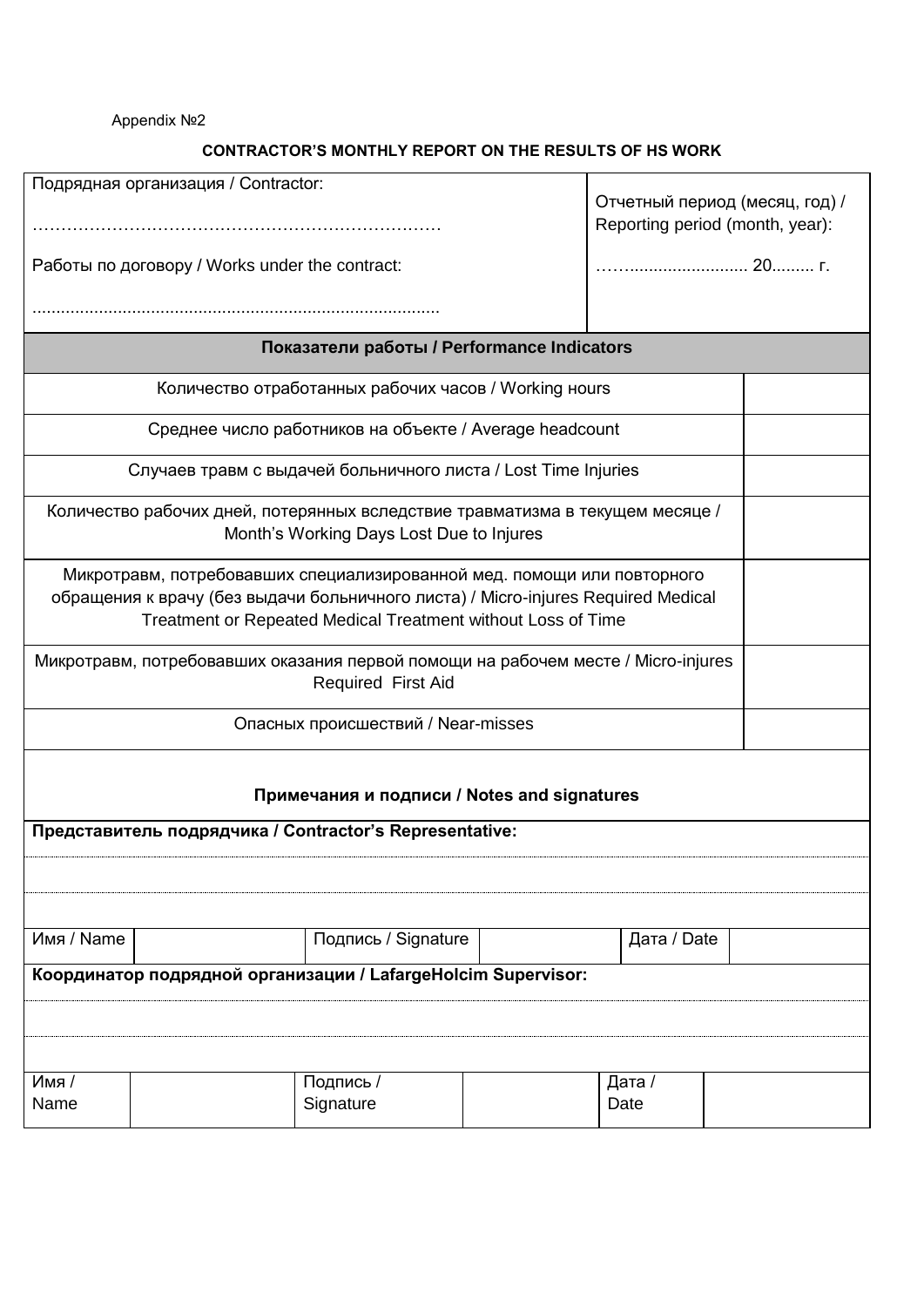Appendix №2

# **CONTRACTOR'S MONTHLY REPORT ON THE RESULTS OF HS WORK**

|                                                               | Подрядная организация / Contractor:                                               |                                                              |  |             |       |  |  |  |  |
|---------------------------------------------------------------|-----------------------------------------------------------------------------------|--------------------------------------------------------------|--|-------------|-------|--|--|--|--|
|                                                               | Отчетный период (месяц, год) /                                                    |                                                              |  |             |       |  |  |  |  |
|                                                               |                                                                                   |                                                              |  |             |       |  |  |  |  |
| Reporting period (month, year):                               |                                                                                   |                                                              |  |             |       |  |  |  |  |
|                                                               |                                                                                   |                                                              |  |             | 20 r. |  |  |  |  |
|                                                               | Работы по договору / Works under the contract:                                    |                                                              |  |             |       |  |  |  |  |
|                                                               |                                                                                   |                                                              |  |             |       |  |  |  |  |
|                                                               |                                                                                   |                                                              |  |             |       |  |  |  |  |
| Показатели работы / Performance Indicators                    |                                                                                   |                                                              |  |             |       |  |  |  |  |
| Количество отработанных рабочих часов / Working ноигѕ         |                                                                                   |                                                              |  |             |       |  |  |  |  |
| Среднее число работников на объекте / Average headcount       |                                                                                   |                                                              |  |             |       |  |  |  |  |
|                                                               | Случаев травм с выдачей больничного листа / Lost Time Injuries                    |                                                              |  |             |       |  |  |  |  |
|                                                               | Количество рабочих дней, потерянных вследствие травматизма в текущем месяце /     |                                                              |  |             |       |  |  |  |  |
|                                                               |                                                                                   | Month's Working Days Lost Due to Injures                     |  |             |       |  |  |  |  |
|                                                               |                                                                                   |                                                              |  |             |       |  |  |  |  |
|                                                               | Микротравм, потребовавших специализированной мед. помощи или повторного           |                                                              |  |             |       |  |  |  |  |
|                                                               | обращения к врачу (без выдачи больничного листа) / Micro-injures Required Medical |                                                              |  |             |       |  |  |  |  |
|                                                               |                                                                                   | Treatment or Repeated Medical Treatment without Loss of Time |  |             |       |  |  |  |  |
|                                                               |                                                                                   |                                                              |  |             |       |  |  |  |  |
|                                                               | Микротравм, потребовавших оказания первой помощи на рабочем месте / Micro-injures |                                                              |  |             |       |  |  |  |  |
|                                                               |                                                                                   | Required First Aid                                           |  |             |       |  |  |  |  |
|                                                               |                                                                                   |                                                              |  |             |       |  |  |  |  |
|                                                               | Опасных происшествий / Near-misses                                                |                                                              |  |             |       |  |  |  |  |
|                                                               |                                                                                   |                                                              |  |             |       |  |  |  |  |
|                                                               |                                                                                   |                                                              |  |             |       |  |  |  |  |
|                                                               |                                                                                   |                                                              |  |             |       |  |  |  |  |
| Примечания и подписи / Notes and signatures                   |                                                                                   |                                                              |  |             |       |  |  |  |  |
| Представитель подрядчика / Contractor's Representative:       |                                                                                   |                                                              |  |             |       |  |  |  |  |
|                                                               |                                                                                   |                                                              |  |             |       |  |  |  |  |
|                                                               |                                                                                   |                                                              |  |             |       |  |  |  |  |
|                                                               |                                                                                   |                                                              |  |             |       |  |  |  |  |
|                                                               |                                                                                   |                                                              |  |             |       |  |  |  |  |
| Имя / Name                                                    |                                                                                   | Подпись / Signature                                          |  | Дата / Date |       |  |  |  |  |
| Координатор подрядной организации / LafargeHolcim Supervisor: |                                                                                   |                                                              |  |             |       |  |  |  |  |
|                                                               |                                                                                   |                                                              |  |             |       |  |  |  |  |
|                                                               |                                                                                   |                                                              |  |             |       |  |  |  |  |
|                                                               |                                                                                   |                                                              |  |             |       |  |  |  |  |
|                                                               |                                                                                   |                                                              |  |             |       |  |  |  |  |
|                                                               |                                                                                   |                                                              |  |             |       |  |  |  |  |
| Имя /                                                         |                                                                                   | Подпись /                                                    |  | Дата /      |       |  |  |  |  |
| Name                                                          |                                                                                   | Signature                                                    |  | Date        |       |  |  |  |  |